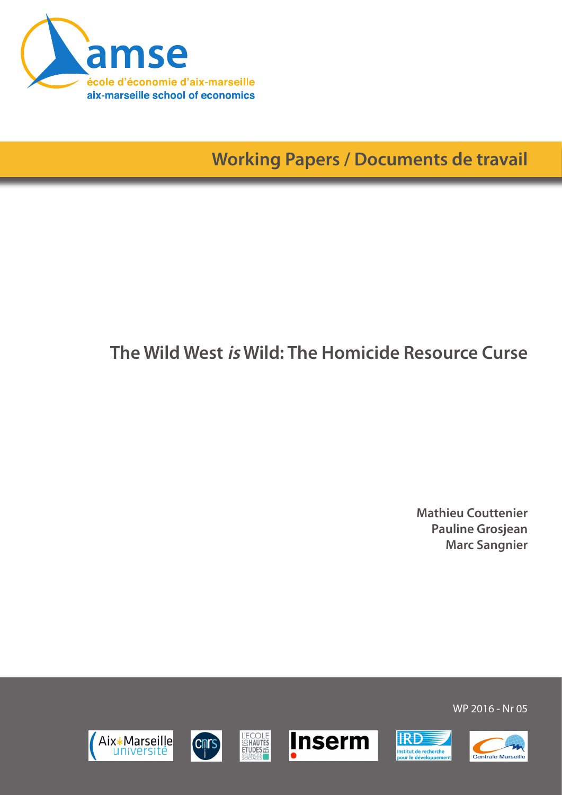

**Working Papers / Documents de travail**

# **The Wild West is Wild: The Homicide Resource Curse**

**Mathieu Couttenier Pauline Grosjean Marc Sangnier**













WP 2016 - Nr 05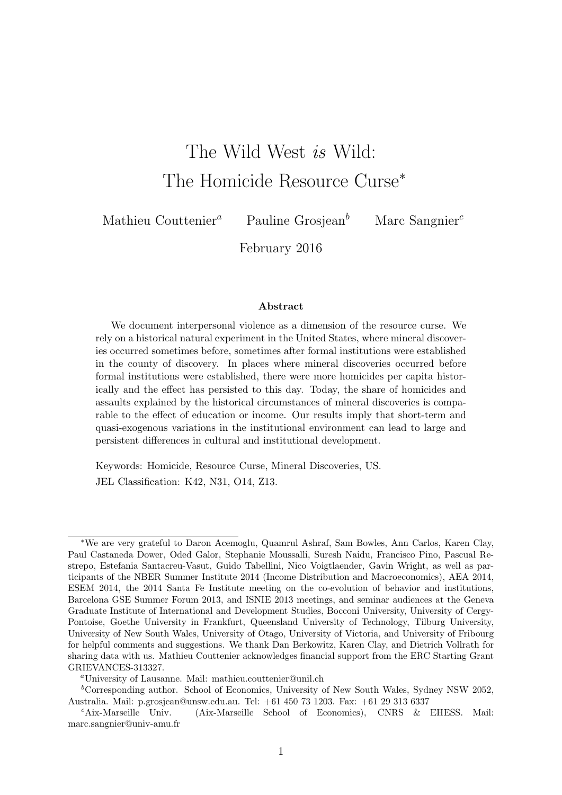# <span id="page-1-0"></span>The Wild West is Wild: The Homicide Resource Curse<sup>\*</sup>

Mathieu Couttenier<sup>a</sup> Pauline Grosjean<sup>b</sup> Marc Sangnier<sup>c</sup>

February 2016

#### Abstract

We document interpersonal violence as a dimension of the resource curse. We rely on a historical natural experiment in the United States, where mineral discoveries occurred sometimes before, sometimes after formal institutions were established in the county of discovery. In places where mineral discoveries occurred before formal institutions were established, there were more homicides per capita historically and the effect has persisted to this day. Today, the share of homicides and assaults explained by the historical circumstances of mineral discoveries is comparable to the effect of education or income. Our results imply that short-term and quasi-exogenous variations in the institutional environment can lead to large and persistent differences in cultural and institutional development.

Keywords: Homicide, Resource Curse, Mineral Discoveries, US. JEL Classification: K42, N31, O14, Z13.

<sup>∗</sup>We are very grateful to Daron Acemoglu, Quamrul Ashraf, Sam Bowles, Ann Carlos, Karen Clay, Paul Castaneda Dower, Oded Galor, Stephanie Moussalli, Suresh Naidu, Francisco Pino, Pascual Restrepo, Estefania Santacreu-Vasut, Guido Tabellini, Nico Voigtlaender, Gavin Wright, as well as participants of the NBER Summer Institute 2014 (Income Distribution and Macroeconomics), AEA 2014, ESEM 2014, the 2014 Santa Fe Institute meeting on the co-evolution of behavior and institutions, Barcelona GSE Summer Forum 2013, and ISNIE 2013 meetings, and seminar audiences at the Geneva Graduate Institute of International and Development Studies, Bocconi University, University of Cergy-Pontoise, Goethe University in Frankfurt, Queensland University of Technology, Tilburg University, University of New South Wales, University of Otago, University of Victoria, and University of Fribourg for helpful comments and suggestions. We thank Dan Berkowitz, Karen Clay, and Dietrich Vollrath for sharing data with us. Mathieu Couttenier acknowledges financial support from the ERC Starting Grant GRIEVANCES-313327.

<sup>a</sup>University of Lausanne. Mail: mathieu.couttenier@unil.ch

 ${}^b$ Corresponding author. School of Economics, University of New South Wales, Sydney NSW 2052, Australia. Mail: p.grosjean@unsw.edu.au. Tel: +61 450 73 1203. Fax: +61 29 313 6337

<sup>c</sup>Aix-Marseille Univ. (Aix-Marseille School of Economics), CNRS & EHESS. Mail: marc.sangnier@univ-amu.fr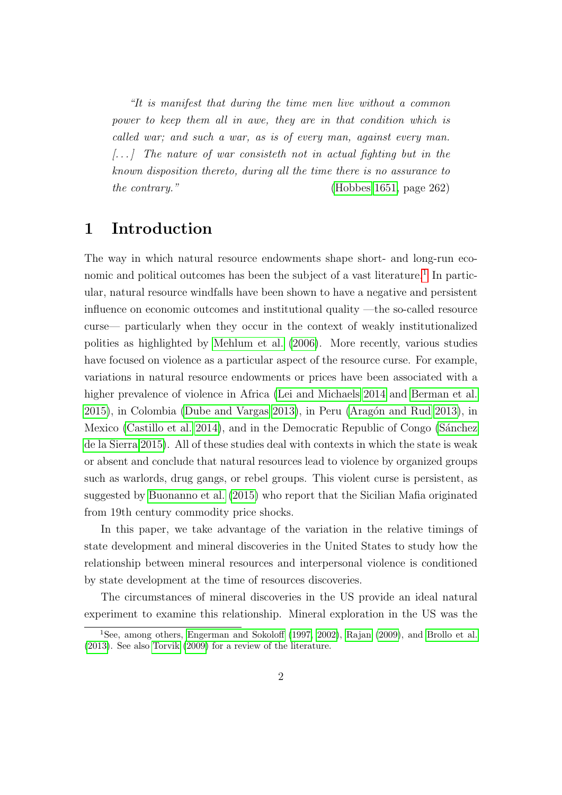"It is manifest that during the time men live without a common power to keep them all in awe, they are in that condition which is called war; and such a war, as is of every man, against every man.  $[...]$  The nature of war consisteth not in actual fighting but in the known disposition thereto, during all the time there is no assurance to the contrary." [\(Hobbes 1651,](#page-30-0) page 262)

# 1 Introduction

The way in which natural resource endowments shape short- and long-run eco-nomic and political outcomes has been the subject of a vast literature.<sup>[1](#page-2-0)</sup> In particular, natural resource windfalls have been shown to have a negative and persistent influence on economic outcomes and institutional quality —the so-called resource curse— particularly when they occur in the context of weakly institutionalized polities as highlighted by [Mehlum et al.](#page-31-0) [\(2006\)](#page-31-0). More recently, various studies have focused on violence as a particular aspect of the resource curse. For example, variations in natural resource endowments or prices have been associated with a higher prevalence of violence in Africa [\(Lei and Michaels 2014](#page-31-1) and [Berman et al.](#page-28-0) [2015\)](#page-28-0), in Colombia [\(Dube and Vargas 2013\)](#page-29-0), in Peru (Aragón and Rud 2013), in Mexico [\(Castillo et al. 2014\)](#page-28-2), and in the Democratic Republic of Congo (Sánchez [de la Sierra 2015\)](#page-31-2). All of these studies deal with contexts in which the state is weak or absent and conclude that natural resources lead to violence by organized groups such as warlords, drug gangs, or rebel groups. This violent curse is persistent, as suggested by [Buonanno et al.](#page-28-3) [\(2015\)](#page-28-3) who report that the Sicilian Mafia originated from 19th century commodity price shocks.

In this paper, we take advantage of the variation in the relative timings of state development and mineral discoveries in the United States to study how the relationship between mineral resources and interpersonal violence is conditioned by state development at the time of resources discoveries.

The circumstances of mineral discoveries in the US provide an ideal natural experiment to examine this relationship. Mineral exploration in the US was the

<span id="page-2-0"></span><sup>&</sup>lt;sup>1</sup>See, among others, [Engerman and Sokoloff](#page-30-1) [\(1997,](#page-30-1) [2002\)](#page-30-2), [Rajan](#page-31-3) [\(2009\)](#page-31-3), and [Brollo et al.](#page-28-4) [\(2013\)](#page-28-4). See also [Torvik](#page-32-0) [\(2009\)](#page-32-0) for a review of the literature.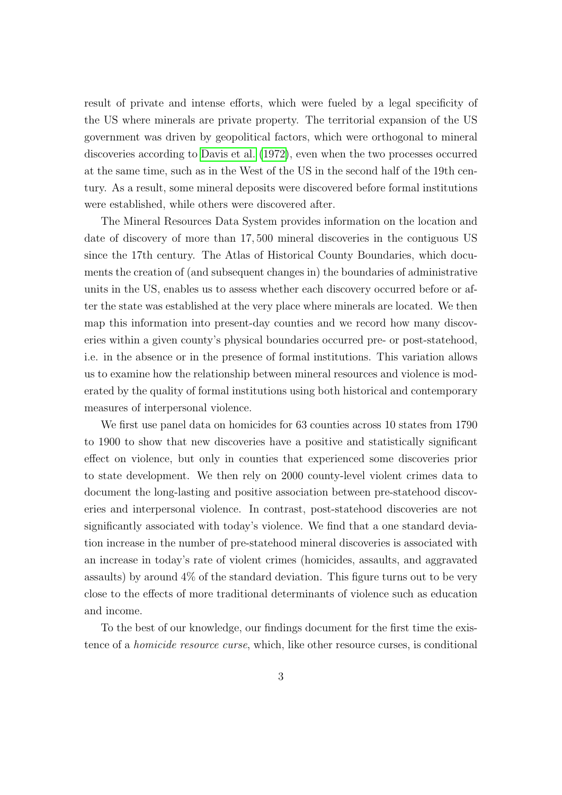result of private and intense efforts, which were fueled by a legal specificity of the US where minerals are private property. The territorial expansion of the US government was driven by geopolitical factors, which were orthogonal to mineral discoveries according to [Davis et al.](#page-29-1) [\(1972\)](#page-29-1), even when the two processes occurred at the same time, such as in the West of the US in the second half of the 19th century. As a result, some mineral deposits were discovered before formal institutions were established, while others were discovered after.

The Mineral Resources Data System provides information on the location and date of discovery of more than 17, 500 mineral discoveries in the contiguous US since the 17th century. The Atlas of Historical County Boundaries, which documents the creation of (and subsequent changes in) the boundaries of administrative units in the US, enables us to assess whether each discovery occurred before or after the state was established at the very place where minerals are located. We then map this information into present-day counties and we record how many discoveries within a given county's physical boundaries occurred pre- or post-statehood, i.e. in the absence or in the presence of formal institutions. This variation allows us to examine how the relationship between mineral resources and violence is moderated by the quality of formal institutions using both historical and contemporary measures of interpersonal violence.

We first use panel data on homicides for 63 counties across 10 states from 1790 to 1900 to show that new discoveries have a positive and statistically significant effect on violence, but only in counties that experienced some discoveries prior to state development. We then rely on 2000 county-level violent crimes data to document the long-lasting and positive association between pre-statehood discoveries and interpersonal violence. In contrast, post-statehood discoveries are not significantly associated with today's violence. We find that a one standard deviation increase in the number of pre-statehood mineral discoveries is associated with an increase in today's rate of violent crimes (homicides, assaults, and aggravated assaults) by around 4% of the standard deviation. This figure turns out to be very close to the effects of more traditional determinants of violence such as education and income.

To the best of our knowledge, our findings document for the first time the existence of a homicide resource curse, which, like other resource curses, is conditional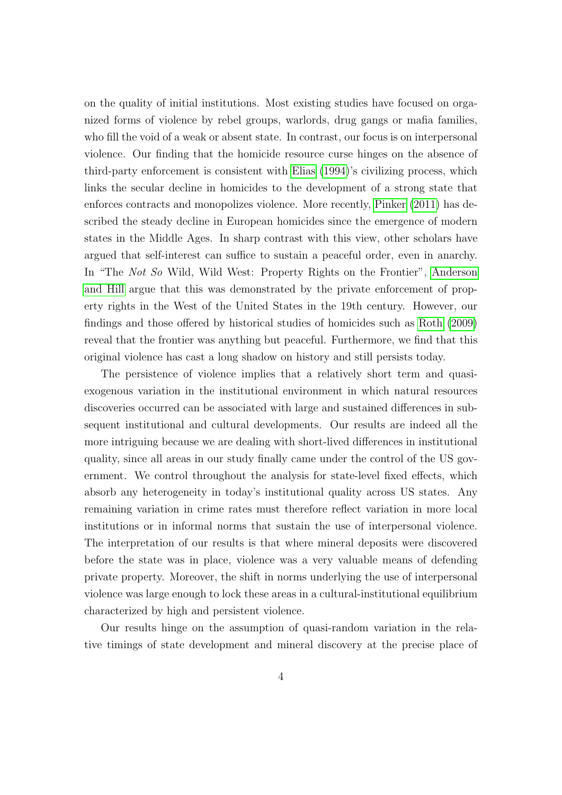on the quality of initial institutions. Most existing studies have focused on organized forms of violence by rebel groups, warlords, drug gangs or mafia families, who fill the void of a weak or absent state. In contrast, our focus is on interpersonal violence. Our finding that the homicide resource curse hinges on the absence of third-party enforcement is consistent with [Elias](#page-29-2) [\(1994\)](#page-29-2)'s civilizing process, which links the secular decline in homicides to the development of a strong state that enforces contracts and monopolizes violence. More recently, [Pinker](#page-31-4) [\(2011\)](#page-31-4) has described the steady decline in European homicides since the emergence of modern states in the Middle Ages. In sharp contrast with this view, other scholars have argued that self-interest can suffice to sustain a peaceful order, even in anarchy. In "The Not So Wild, Wild West: Property Rights on the Frontier", [Anderson](#page-28-5) [and Hill](#page-28-5) argue that this was demonstrated by the private enforcement of property rights in the West of the United States in the 19th century. However, our findings and those offered by historical studies of homicides such as [Roth](#page-31-5) [\(2009\)](#page-31-5) reveal that the frontier was anything but peaceful. Furthermore, we find that this original violence has cast a long shadow on history and still persists today.

The persistence of violence implies that a relatively short term and quasiexogenous variation in the institutional environment in which natural resources discoveries occurred can be associated with large and sustained differences in subsequent institutional and cultural developments. Our results are indeed all the more intriguing because we are dealing with short-lived differences in institutional quality, since all areas in our study finally came under the control of the US government. We control throughout the analysis for state-level fixed effects, which absorb any heterogeneity in today's institutional quality across US states. Any remaining variation in crime rates must therefore reflect variation in more local institutions or in informal norms that sustain the use of interpersonal violence. The interpretation of our results is that where mineral deposits were discovered before the state was in place, violence was a very valuable means of defending private property. Moreover, the shift in norms underlying the use of interpersonal violence was large enough to lock these areas in a cultural-institutional equilibrium characterized by high and persistent violence.

Our results hinge on the assumption of quasi-random variation in the relative timings of state development and mineral discovery at the precise place of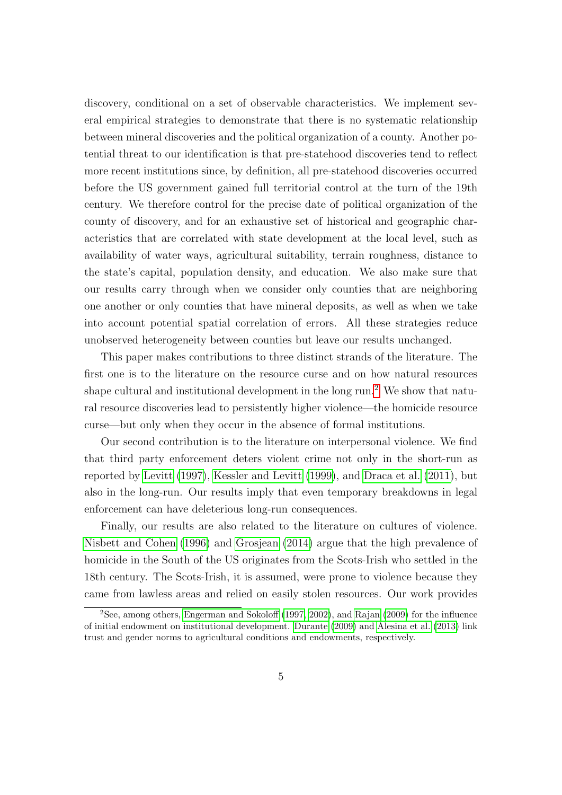discovery, conditional on a set of observable characteristics. We implement several empirical strategies to demonstrate that there is no systematic relationship between mineral discoveries and the political organization of a county. Another potential threat to our identification is that pre-statehood discoveries tend to reflect more recent institutions since, by definition, all pre-statehood discoveries occurred before the US government gained full territorial control at the turn of the 19th century. We therefore control for the precise date of political organization of the county of discovery, and for an exhaustive set of historical and geographic characteristics that are correlated with state development at the local level, such as availability of water ways, agricultural suitability, terrain roughness, distance to the state's capital, population density, and education. We also make sure that our results carry through when we consider only counties that are neighboring one another or only counties that have mineral deposits, as well as when we take into account potential spatial correlation of errors. All these strategies reduce unobserved heterogeneity between counties but leave our results unchanged.

This paper makes contributions to three distinct strands of the literature. The first one is to the literature on the resource curse and on how natural resources shape cultural and institutional development in the long run.<sup>[2](#page-5-0)</sup> We show that natural resource discoveries lead to persistently higher violence—the homicide resource curse—but only when they occur in the absence of formal institutions.

Our second contribution is to the literature on interpersonal violence. We find that third party enforcement deters violent crime not only in the short-run as reported by [Levitt](#page-31-6) [\(1997\)](#page-31-6), [Kessler and Levitt](#page-30-3) [\(1999\)](#page-30-3), and [Draca et al.](#page-29-3) [\(2011\)](#page-29-3), but also in the long-run. Our results imply that even temporary breakdowns in legal enforcement can have deleterious long-run consequences.

Finally, our results are also related to the literature on cultures of violence. [Nisbett and Cohen](#page-31-7) [\(1996\)](#page-31-7) and [Grosjean](#page-30-4) [\(2014\)](#page-30-4) argue that the high prevalence of homicide in the South of the US originates from the Scots-Irish who settled in the 18th century. The Scots-Irish, it is assumed, were prone to violence because they came from lawless areas and relied on easily stolen resources. Our work provides

<span id="page-5-0"></span><sup>2</sup>See, among others, [Engerman and Sokoloff](#page-30-1) [\(1997,](#page-30-1) [2002\)](#page-30-2), and [Rajan](#page-31-3) [\(2009\)](#page-31-3) for the influence of initial endowment on institutional development. [Durante](#page-29-4) [\(2009\)](#page-29-4) and [Alesina et al.](#page-28-6) [\(2013\)](#page-28-6) link trust and gender norms to agricultural conditions and endowments, respectively.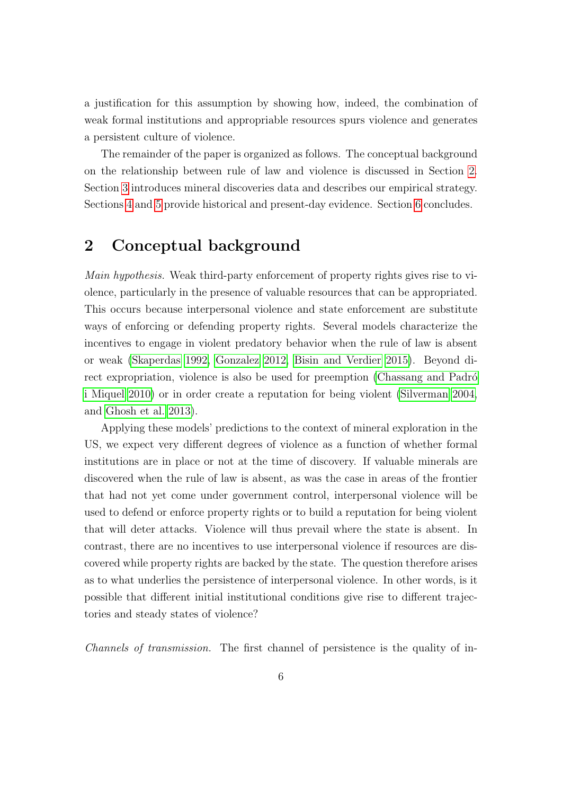a justification for this assumption by showing how, indeed, the combination of weak formal institutions and appropriable resources spurs violence and generates a persistent culture of violence.

The remainder of the paper is organized as follows. The conceptual background on the relationship between rule of law and violence is discussed in Section [2.](#page-6-0) Section [3](#page-9-0) introduces mineral discoveries data and describes our empirical strategy. Sections [4](#page-16-0) and [5](#page-20-0) provide historical and present-day evidence. Section [6](#page-27-0) concludes.

# <span id="page-6-0"></span>2 Conceptual background

Main hypothesis. Weak third-party enforcement of property rights gives rise to violence, particularly in the presence of valuable resources that can be appropriated. This occurs because interpersonal violence and state enforcement are substitute ways of enforcing or defending property rights. Several models characterize the incentives to engage in violent predatory behavior when the rule of law is absent or weak [\(Skaperdas 1992,](#page-32-1) [Gonzalez 2012,](#page-30-5) [Bisin and Verdier 2015\)](#page-28-7). Beyond direct expropriation, violence is also be used for preemption (Chassang and Padró [i Miquel 2010\)](#page-28-8) or in order create a reputation for being violent [\(Silverman 2004,](#page-32-2) and [Ghosh et al. 2013\)](#page-30-6).

Applying these models' predictions to the context of mineral exploration in the US, we expect very different degrees of violence as a function of whether formal institutions are in place or not at the time of discovery. If valuable minerals are discovered when the rule of law is absent, as was the case in areas of the frontier that had not yet come under government control, interpersonal violence will be used to defend or enforce property rights or to build a reputation for being violent that will deter attacks. Violence will thus prevail where the state is absent. In contrast, there are no incentives to use interpersonal violence if resources are discovered while property rights are backed by the state. The question therefore arises as to what underlies the persistence of interpersonal violence. In other words, is it possible that different initial institutional conditions give rise to different trajectories and steady states of violence?

Channels of transmission. The first channel of persistence is the quality of in-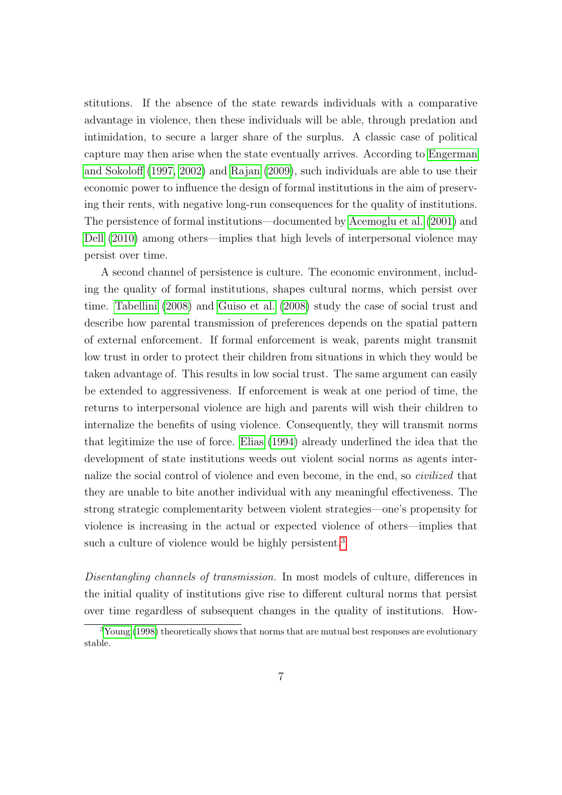stitutions. If the absence of the state rewards individuals with a comparative advantage in violence, then these individuals will be able, through predation and intimidation, to secure a larger share of the surplus. A classic case of political capture may then arise when the state eventually arrives. According to [Engerman](#page-30-1) [and Sokoloff](#page-30-1) [\(1997,](#page-30-1) [2002\)](#page-30-2) and [Rajan](#page-31-3) [\(2009\)](#page-31-3), such individuals are able to use their economic power to influence the design of formal institutions in the aim of preserving their rents, with negative long-run consequences for the quality of institutions. The persistence of formal institutions—documented by [Acemoglu et al.](#page-28-9) [\(2001\)](#page-28-9) and [Dell](#page-29-5) [\(2010\)](#page-29-5) among others—implies that high levels of interpersonal violence may persist over time.

A second channel of persistence is culture. The economic environment, including the quality of formal institutions, shapes cultural norms, which persist over time. [Tabellini](#page-32-3) [\(2008\)](#page-32-3) and [Guiso et al.](#page-30-7) [\(2008\)](#page-30-7) study the case of social trust and describe how parental transmission of preferences depends on the spatial pattern of external enforcement. If formal enforcement is weak, parents might transmit low trust in order to protect their children from situations in which they would be taken advantage of. This results in low social trust. The same argument can easily be extended to aggressiveness. If enforcement is weak at one period of time, the returns to interpersonal violence are high and parents will wish their children to internalize the benefits of using violence. Consequently, they will transmit norms that legitimize the use of force. [Elias](#page-29-2) [\(1994\)](#page-29-2) already underlined the idea that the development of state institutions weeds out violent social norms as agents internalize the social control of violence and even become, in the end, so civilized that they are unable to bite another individual with any meaningful effectiveness. The strong strategic complementarity between violent strategies—one's propensity for violence is increasing in the actual or expected violence of others—implies that such a culture of violence would be highly persistent.<sup>[3](#page-7-0)</sup>

Disentangling channels of transmission. In most models of culture, differences in the initial quality of institutions give rise to different cultural norms that persist over time regardless of subsequent changes in the quality of institutions. How-

<span id="page-7-0"></span><sup>&</sup>lt;sup>3</sup>[Young](#page-32-4) [\(1998\)](#page-32-4) theoretically shows that norms that are mutual best responses are evolutionary stable.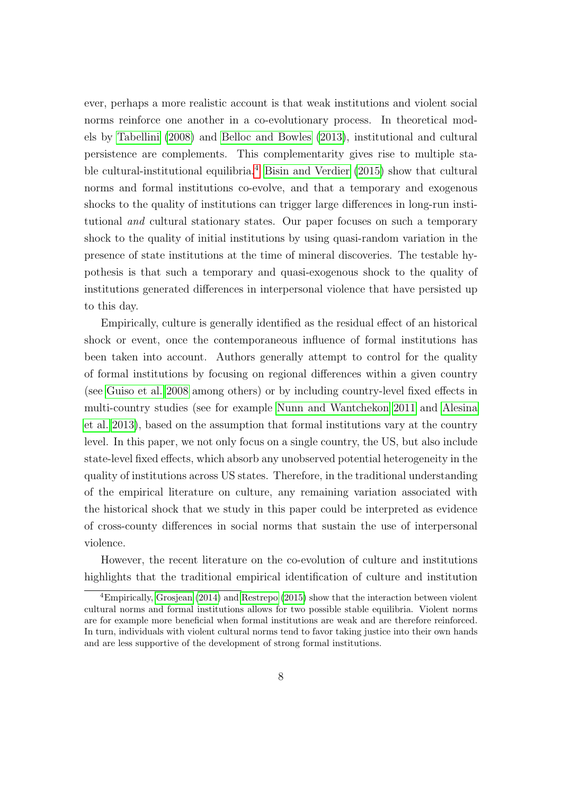ever, perhaps a more realistic account is that weak institutions and violent social norms reinforce one another in a co-evolutionary process. In theoretical models by [Tabellini](#page-32-3) [\(2008\)](#page-32-3) and [Belloc and Bowles](#page-28-10) [\(2013\)](#page-28-10), institutional and cultural persistence are complements. This complementarity gives rise to multiple sta-ble cultural-institutional equilibria.<sup>[4](#page-8-0)</sup> [Bisin and Verdier](#page-28-7) [\(2015\)](#page-28-7) show that cultural norms and formal institutions co-evolve, and that a temporary and exogenous shocks to the quality of institutions can trigger large differences in long-run institutional and cultural stationary states. Our paper focuses on such a temporary shock to the quality of initial institutions by using quasi-random variation in the presence of state institutions at the time of mineral discoveries. The testable hypothesis is that such a temporary and quasi-exogenous shock to the quality of institutions generated differences in interpersonal violence that have persisted up to this day.

Empirically, culture is generally identified as the residual effect of an historical shock or event, once the contemporaneous influence of formal institutions has been taken into account. Authors generally attempt to control for the quality of formal institutions by focusing on regional differences within a given country (see [Guiso et al. 2008](#page-30-7) among others) or by including country-level fixed effects in multi-country studies (see for example [Nunn and Wantchekon 2011](#page-31-8) and [Alesina](#page-28-6) [et al. 2013\)](#page-28-6), based on the assumption that formal institutions vary at the country level. In this paper, we not only focus on a single country, the US, but also include state-level fixed effects, which absorb any unobserved potential heterogeneity in the quality of institutions across US states. Therefore, in the traditional understanding of the empirical literature on culture, any remaining variation associated with the historical shock that we study in this paper could be interpreted as evidence of cross-county differences in social norms that sustain the use of interpersonal violence.

However, the recent literature on the co-evolution of culture and institutions highlights that the traditional empirical identification of culture and institution

<span id="page-8-0"></span><sup>4</sup>Empirically, [Grosjean](#page-30-4) [\(2014\)](#page-30-4) and [Restrepo](#page-31-9) [\(2015\)](#page-31-9) show that the interaction between violent cultural norms and formal institutions allows for two possible stable equilibria. Violent norms are for example more beneficial when formal institutions are weak and are therefore reinforced. In turn, individuals with violent cultural norms tend to favor taking justice into their own hands and are less supportive of the development of strong formal institutions.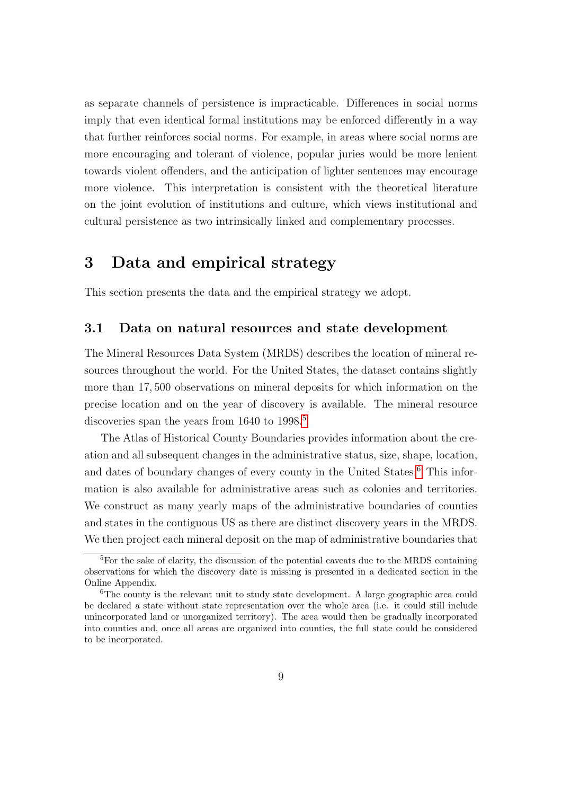as separate channels of persistence is impracticable. Differences in social norms imply that even identical formal institutions may be enforced differently in a way that further reinforces social norms. For example, in areas where social norms are more encouraging and tolerant of violence, popular juries would be more lenient towards violent offenders, and the anticipation of lighter sentences may encourage more violence. This interpretation is consistent with the theoretical literature on the joint evolution of institutions and culture, which views institutional and cultural persistence as two intrinsically linked and complementary processes.

## <span id="page-9-0"></span>3 Data and empirical strategy

This section presents the data and the empirical strategy we adopt.

### <span id="page-9-3"></span>3.1 Data on natural resources and state development

The Mineral Resources Data System (MRDS) describes the location of mineral resources throughout the world. For the United States, the dataset contains slightly more than 17, 500 observations on mineral deposits for which information on the precise location and on the year of discovery is available. The mineral resource discoveries span the years from 1640 to 1998.<sup>[5](#page-9-1)</sup>

The Atlas of Historical County Boundaries provides information about the creation and all subsequent changes in the administrative status, size, shape, location, and dates of boundary changes of every county in the United States.<sup>[6](#page-9-2)</sup> This information is also available for administrative areas such as colonies and territories. We construct as many yearly maps of the administrative boundaries of counties and states in the contiguous US as there are distinct discovery years in the MRDS. We then project each mineral deposit on the map of administrative boundaries that

<span id="page-9-1"></span><sup>5</sup>For the sake of clarity, the discussion of the potential caveats due to the MRDS containing observations for which the discovery date is missing is presented in a dedicated section in the Online Appendix.

<span id="page-9-2"></span><sup>&</sup>lt;sup>6</sup>The county is the relevant unit to study state development. A large geographic area could be declared a state without state representation over the whole area (i.e. it could still include unincorporated land or unorganized territory). The area would then be gradually incorporated into counties and, once all areas are organized into counties, the full state could be considered to be incorporated.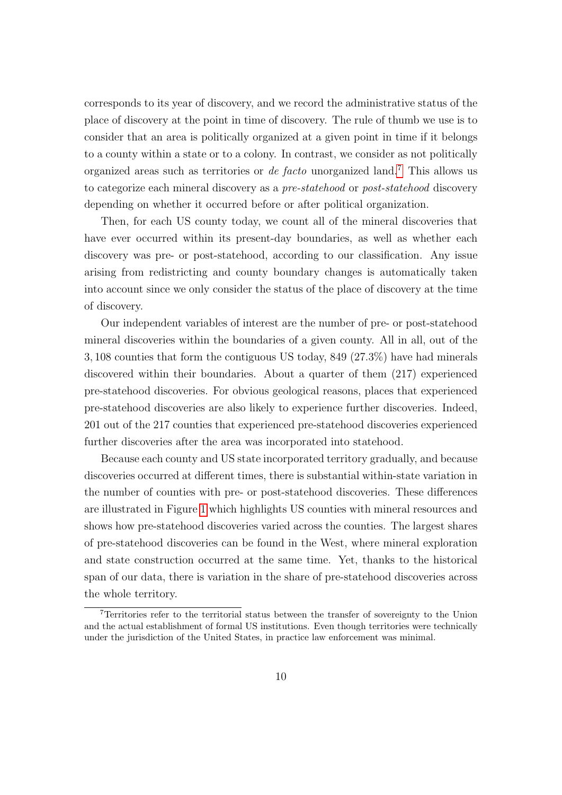corresponds to its year of discovery, and we record the administrative status of the place of discovery at the point in time of discovery. The rule of thumb we use is to consider that an area is politically organized at a given point in time if it belongs to a county within a state or to a colony. In contrast, we consider as not politically organized areas such as territories or *de facto* unorganized land.<sup>[7](#page-10-0)</sup> This allows us to categorize each mineral discovery as a pre-statehood or post-statehood discovery depending on whether it occurred before or after political organization.

Then, for each US county today, we count all of the mineral discoveries that have ever occurred within its present-day boundaries, as well as whether each discovery was pre- or post-statehood, according to our classification. Any issue arising from redistricting and county boundary changes is automatically taken into account since we only consider the status of the place of discovery at the time of discovery.

Our independent variables of interest are the number of pre- or post-statehood mineral discoveries within the boundaries of a given county. All in all, out of the 3, 108 counties that form the contiguous US today, 849 (27.3%) have had minerals discovered within their boundaries. About a quarter of them (217) experienced pre-statehood discoveries. For obvious geological reasons, places that experienced pre-statehood discoveries are also likely to experience further discoveries. Indeed, 201 out of the 217 counties that experienced pre-statehood discoveries experienced further discoveries after the area was incorporated into statehood.

Because each county and US state incorporated territory gradually, and because discoveries occurred at different times, there is substantial within-state variation in the number of counties with pre- or post-statehood discoveries. These differences are illustrated in Figure [1](#page-33-0) which highlights US counties with mineral resources and shows how pre-statehood discoveries varied across the counties. The largest shares of pre-statehood discoveries can be found in the West, where mineral exploration and state construction occurred at the same time. Yet, thanks to the historical span of our data, there is variation in the share of pre-statehood discoveries across the whole territory.

<span id="page-10-0"></span><sup>7</sup>Territories refer to the territorial status between the transfer of sovereignty to the Union and the actual establishment of formal US institutions. Even though territories were technically under the jurisdiction of the United States, in practice law enforcement was minimal.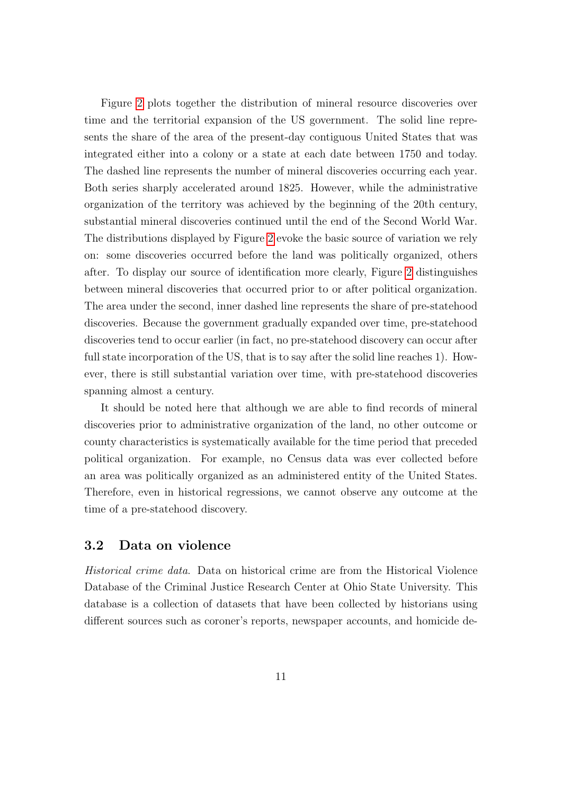Figure [2](#page-34-0) plots together the distribution of mineral resource discoveries over time and the territorial expansion of the US government. The solid line represents the share of the area of the present-day contiguous United States that was integrated either into a colony or a state at each date between 1750 and today. The dashed line represents the number of mineral discoveries occurring each year. Both series sharply accelerated around 1825. However, while the administrative organization of the territory was achieved by the beginning of the 20th century, substantial mineral discoveries continued until the end of the Second World War. The distributions displayed by Figure [2](#page-34-0) evoke the basic source of variation we rely on: some discoveries occurred before the land was politically organized, others after. To display our source of identification more clearly, Figure [2](#page-34-0) distinguishes between mineral discoveries that occurred prior to or after political organization. The area under the second, inner dashed line represents the share of pre-statehood discoveries. Because the government gradually expanded over time, pre-statehood discoveries tend to occur earlier (in fact, no pre-statehood discovery can occur after full state incorporation of the US, that is to say after the solid line reaches 1). However, there is still substantial variation over time, with pre-statehood discoveries spanning almost a century.

It should be noted here that although we are able to find records of mineral discoveries prior to administrative organization of the land, no other outcome or county characteristics is systematically available for the time period that preceded political organization. For example, no Census data was ever collected before an area was politically organized as an administered entity of the United States. Therefore, even in historical regressions, we cannot observe any outcome at the time of a pre-statehood discovery.

### 3.2 Data on violence

Historical crime data. Data on historical crime are from the Historical Violence Database of the Criminal Justice Research Center at Ohio State University. This database is a collection of datasets that have been collected by historians using different sources such as coroner's reports, newspaper accounts, and homicide de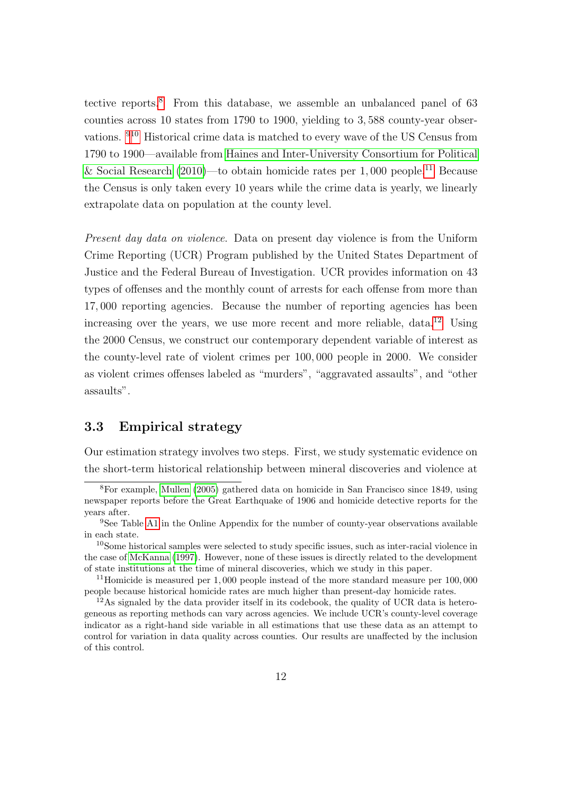tective reports.<sup>[8](#page-12-0)</sup> From this database, we assemble an unbalanced panel of  $63$ counties across 10 states from 1790 to 1900, yielding to 3, 588 county-year observations. [9](#page-12-1)[10](#page-12-2) Historical crime data is matched to every wave of the US Census from 1790 to 1900—available from [Haines and Inter-University Consortium for Political](#page-30-8) [& Social Research](#page-30-8) [\(2010\)](#page-30-8)—to obtain homicide rates per 1,000 people.<sup>[11](#page-12-3)</sup> Because the Census is only taken every 10 years while the crime data is yearly, we linearly extrapolate data on population at the county level.

Present day data on violence. Data on present day violence is from the Uniform Crime Reporting (UCR) Program published by the United States Department of Justice and the Federal Bureau of Investigation. UCR provides information on 43 types of offenses and the monthly count of arrests for each offense from more than 17, 000 reporting agencies. Because the number of reporting agencies has been increasing over the years, we use more recent and more reliable, data.<sup>[12](#page-12-4)</sup> Using the 2000 Census, we construct our contemporary dependent variable of interest as the county-level rate of violent crimes per 100, 000 people in 2000. We consider as violent crimes offenses labeled as "murders", "aggravated assaults", and "other assaults".

### 3.3 Empirical strategy

Our estimation strategy involves two steps. First, we study systematic evidence on the short-term historical relationship between mineral discoveries and violence at

<span id="page-12-0"></span><sup>8</sup>For example, [Mullen](#page-31-10) [\(2005\)](#page-31-10) gathered data on homicide in San Francisco since 1849, using newspaper reports before the Great Earthquake of 1906 and homicide detective reports for the years after.

<span id="page-12-1"></span><sup>&</sup>lt;sup>9</sup>See Table [A1](#page-1-0) in the Online Appendix for the number of county-year observations available in each state.

<span id="page-12-2"></span><sup>&</sup>lt;sup>10</sup>Some historical samples were selected to study specific issues, such as inter-racial violence in the case of [McKanna](#page-31-11) [\(1997\)](#page-31-11). However, none of these issues is directly related to the development of state institutions at the time of mineral discoveries, which we study in this paper.

<span id="page-12-3"></span><sup>&</sup>lt;sup>11</sup>Homicide is measured per 1,000 people instead of the more standard measure per  $100,000$ people because historical homicide rates are much higher than present-day homicide rates.

<span id="page-12-4"></span> $12\text{As}$  signaled by the data provider itself in its codebook, the quality of UCR data is heterogeneous as reporting methods can vary across agencies. We include UCR's county-level coverage indicator as a right-hand side variable in all estimations that use these data as an attempt to control for variation in data quality across counties. Our results are unaffected by the inclusion of this control.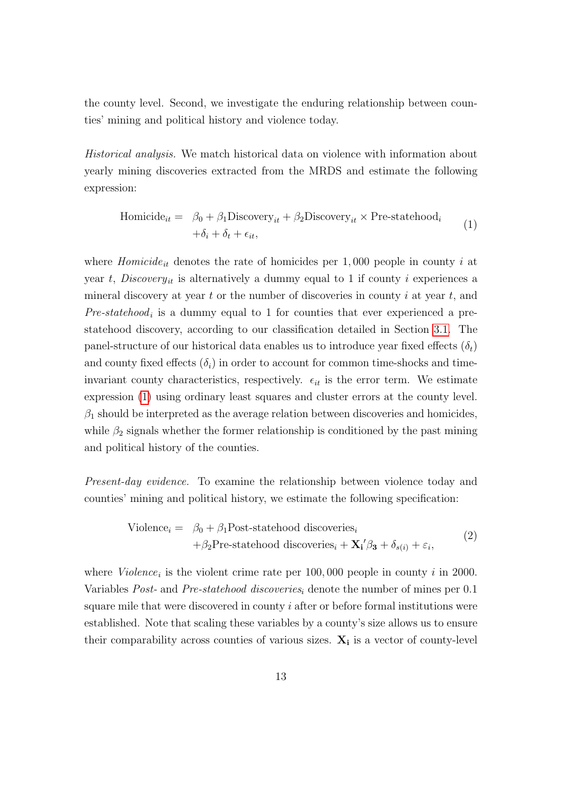the county level. Second, we investigate the enduring relationship between counties' mining and political history and violence today.

Historical analysis. We match historical data on violence with information about yearly mining discoveries extracted from the MRDS and estimate the following expression:

<span id="page-13-0"></span>Homicide<sub>it</sub> = 
$$
\beta_0 + \beta_1 \text{Discovery}_{it} + \beta_2 \text{Discovery}_{it} \times \text{Pre-statehood}_i
$$
  
  $+\delta_i + \delta_t + \epsilon_{it},$  (1)

where  $Homicide_{it}$  denotes the rate of homicides per 1,000 people in county i at year t, Discovery<sub>it</sub> is alternatively a dummy equal to 1 if county i experiences a mineral discovery at year t or the number of discoveries in county  $i$  at year t, and  $Pre-statehood_i$  is a dummy equal to 1 for counties that ever experienced a prestatehood discovery, according to our classification detailed in Section [3.1.](#page-9-3) The panel-structure of our historical data enables us to introduce year fixed effects  $(\delta_t)$ and county fixed effects  $(\delta_i)$  in order to account for common time-shocks and timeinvariant county characteristics, respectively.  $\epsilon_{it}$  is the error term. We estimate expression [\(1\)](#page-13-0) using ordinary least squares and cluster errors at the county level.  $\beta_1$  should be interpreted as the average relation between discoveries and homicides, while  $\beta_2$  signals whether the former relationship is conditioned by the past mining and political history of the counties.

Present-day evidence. To examine the relationship between violence today and counties' mining and political history, we estimate the following specification:

<span id="page-13-1"></span>
$$
\text{Violence}_{i} = \beta_{0} + \beta_{1} \text{Post-statehood discoveries}_{i} + \beta_{2} \text{Pre-statehood discoveries}_{i} + \mathbf{X}_{i}^{\prime} \beta_{3} + \delta_{s(i)} + \varepsilon_{i},
$$
\n(2)

where  $Violence_i$  is the violent crime rate per 100,000 people in county i in 2000. Variables Post- and Pre-statehood discoveries<sub>i</sub> denote the number of mines per  $0.1$ square mile that were discovered in county i after or before formal institutions were established. Note that scaling these variables by a county's size allows us to ensure their comparability across counties of various sizes.  $X_i$  is a vector of county-level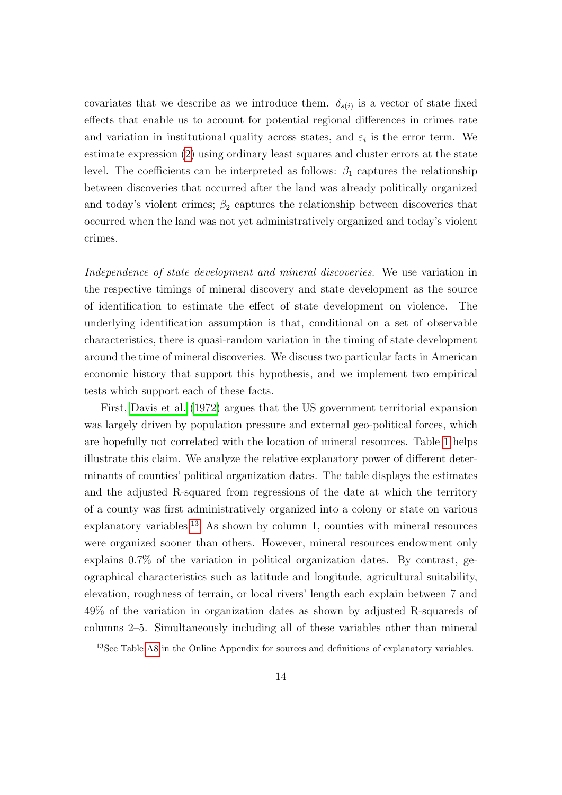covariates that we describe as we introduce them.  $\delta_{s(i)}$  is a vector of state fixed effects that enable us to account for potential regional differences in crimes rate and variation in institutional quality across states, and  $\varepsilon_i$  is the error term. We estimate expression [\(2\)](#page-13-1) using ordinary least squares and cluster errors at the state level. The coefficients can be interpreted as follows:  $\beta_1$  captures the relationship between discoveries that occurred after the land was already politically organized and today's violent crimes;  $\beta_2$  captures the relationship between discoveries that occurred when the land was not yet administratively organized and today's violent crimes.

Independence of state development and mineral discoveries. We use variation in the respective timings of mineral discovery and state development as the source of identification to estimate the effect of state development on violence. The underlying identification assumption is that, conditional on a set of observable characteristics, there is quasi-random variation in the timing of state development around the time of mineral discoveries. We discuss two particular facts in American economic history that support this hypothesis, and we implement two empirical tests which support each of these facts.

First, [Davis et al.](#page-29-1) [\(1972\)](#page-29-1) argues that the US government territorial expansion was largely driven by population pressure and external geo-political forces, which are hopefully not correlated with the location of mineral resources. Table [1](#page-37-0) helps illustrate this claim. We analyze the relative explanatory power of different determinants of counties' political organization dates. The table displays the estimates and the adjusted R-squared from regressions of the date at which the territory of a county was first administratively organized into a colony or state on various explanatory variables.[13](#page-14-0) As shown by column 1, counties with mineral resources were organized sooner than others. However, mineral resources endowment only explains 0.7% of the variation in political organization dates. By contrast, geographical characteristics such as latitude and longitude, agricultural suitability, elevation, roughness of terrain, or local rivers' length each explain between 7 and 49% of the variation in organization dates as shown by adjusted R-squareds of columns 2–5. Simultaneously including all of these variables other than mineral

<span id="page-14-0"></span><sup>13</sup>See Table [A8](#page-1-0) in the Online Appendix for sources and definitions of explanatory variables.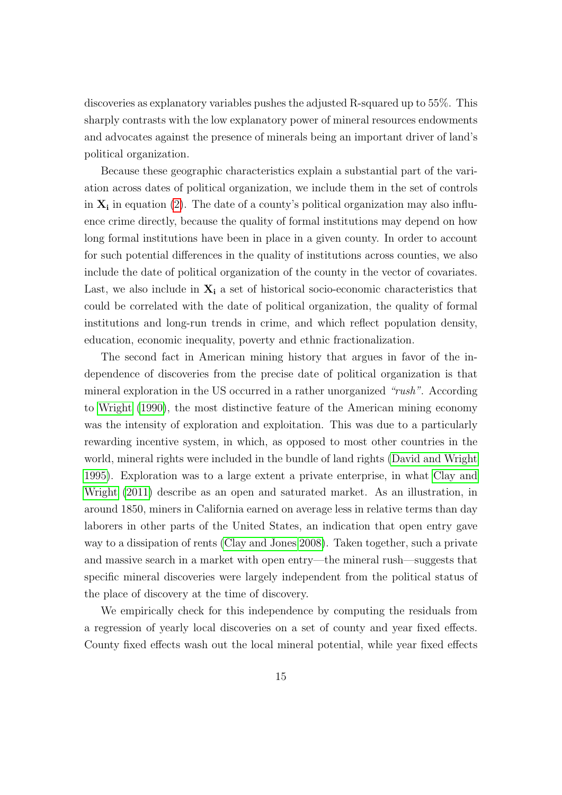discoveries as explanatory variables pushes the adjusted R-squared up to 55%. This sharply contrasts with the low explanatory power of mineral resources endowments and advocates against the presence of minerals being an important driver of land's political organization.

Because these geographic characteristics explain a substantial part of the variation across dates of political organization, we include them in the set of controls in  $X_i$  in equation [\(2\)](#page-13-1). The date of a county's political organization may also influence crime directly, because the quality of formal institutions may depend on how long formal institutions have been in place in a given county. In order to account for such potential differences in the quality of institutions across counties, we also include the date of political organization of the county in the vector of covariates. Last, we also include in  $X_i$  a set of historical socio-economic characteristics that could be correlated with the date of political organization, the quality of formal institutions and long-run trends in crime, and which reflect population density, education, economic inequality, poverty and ethnic fractionalization.

The second fact in American mining history that argues in favor of the independence of discoveries from the precise date of political organization is that mineral exploration in the US occurred in a rather unorganized "rush". According to [Wright](#page-32-5) [\(1990\)](#page-32-5), the most distinctive feature of the American mining economy was the intensity of exploration and exploitation. This was due to a particularly rewarding incentive system, in which, as opposed to most other countries in the world, mineral rights were included in the bundle of land rights [\(David and Wright](#page-29-6) [1995\)](#page-29-6). Exploration was to a large extent a private enterprise, in what [Clay and](#page-29-7) [Wright](#page-29-7) [\(2011\)](#page-29-7) describe as an open and saturated market. As an illustration, in around 1850, miners in California earned on average less in relative terms than day laborers in other parts of the United States, an indication that open entry gave way to a dissipation of rents [\(Clay and Jones 2008\)](#page-29-8). Taken together, such a private and massive search in a market with open entry—the mineral rush—suggests that specific mineral discoveries were largely independent from the political status of the place of discovery at the time of discovery.

We empirically check for this independence by computing the residuals from a regression of yearly local discoveries on a set of county and year fixed effects. County fixed effects wash out the local mineral potential, while year fixed effects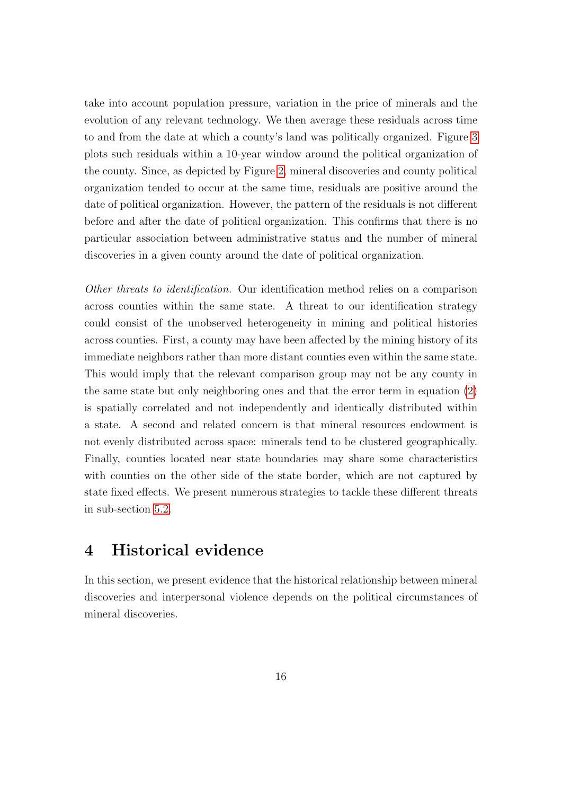take into account population pressure, variation in the price of minerals and the evolution of any relevant technology. We then average these residuals across time to and from the date at which a county's land was politically organized. Figure [3](#page-35-0) plots such residuals within a 10-year window around the political organization of the county. Since, as depicted by Figure [2,](#page-34-0) mineral discoveries and county political organization tended to occur at the same time, residuals are positive around the date of political organization. However, the pattern of the residuals is not different before and after the date of political organization. This confirms that there is no particular association between administrative status and the number of mineral discoveries in a given county around the date of political organization.

Other threats to identification. Our identification method relies on a comparison across counties within the same state. A threat to our identification strategy could consist of the unobserved heterogeneity in mining and political histories across counties. First, a county may have been affected by the mining history of its immediate neighbors rather than more distant counties even within the same state. This would imply that the relevant comparison group may not be any county in the same state but only neighboring ones and that the error term in equation [\(2\)](#page-13-1) is spatially correlated and not independently and identically distributed within a state. A second and related concern is that mineral resources endowment is not evenly distributed across space: minerals tend to be clustered geographically. Finally, counties located near state boundaries may share some characteristics with counties on the other side of the state border, which are not captured by state fixed effects. We present numerous strategies to tackle these different threats in sub-section [5.2.](#page-23-0)

# <span id="page-16-0"></span>4 Historical evidence

In this section, we present evidence that the historical relationship between mineral discoveries and interpersonal violence depends on the political circumstances of mineral discoveries.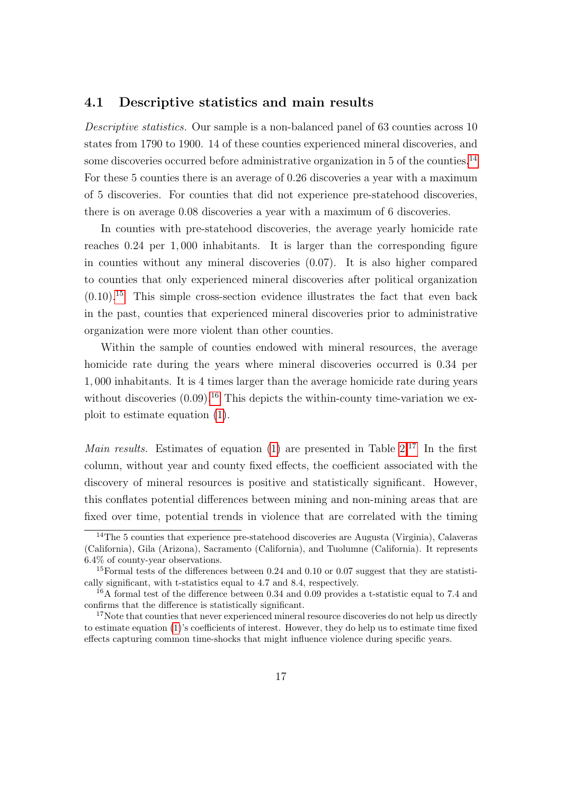#### 4.1 Descriptive statistics and main results

Descriptive statistics. Our sample is a non-balanced panel of 63 counties across 10 states from 1790 to 1900. 14 of these counties experienced mineral discoveries, and some discoveries occurred before administrative organization in 5 of the counties.<sup>[14](#page-17-0)</sup> For these 5 counties there is an average of 0.26 discoveries a year with a maximum of 5 discoveries. For counties that did not experience pre-statehood discoveries, there is on average 0.08 discoveries a year with a maximum of 6 discoveries.

In counties with pre-statehood discoveries, the average yearly homicide rate reaches 0.24 per 1, 000 inhabitants. It is larger than the corresponding figure in counties without any mineral discoveries (0.07). It is also higher compared to counties that only experienced mineral discoveries after political organization  $(0.10).$ <sup>[15](#page-17-1)</sup> This simple cross-section evidence illustrates the fact that even back in the past, counties that experienced mineral discoveries prior to administrative organization were more violent than other counties.

Within the sample of counties endowed with mineral resources, the average homicide rate during the years where mineral discoveries occurred is 0.34 per 1, 000 inhabitants. It is 4 times larger than the average homicide rate during years without discoveries  $(0.09)$ .<sup>[16](#page-17-2)</sup> This depicts the within-county time-variation we exploit to estimate equation [\(1\)](#page-13-0).

*Main results.* Estimates of equation [\(1\)](#page-13-0) are presented in Table  $2^{17}$  $2^{17}$  $2^{17}$  In the first column, without year and county fixed effects, the coefficient associated with the discovery of mineral resources is positive and statistically significant. However, this conflates potential differences between mining and non-mining areas that are fixed over time, potential trends in violence that are correlated with the timing

<span id="page-17-0"></span><sup>&</sup>lt;sup>14</sup>The 5 counties that experience pre-statehood discoveries are Augusta (Virginia), Calaveras (California), Gila (Arizona), Sacramento (California), and Tuolumne (California). It represents 6.4% of county-year observations.

<span id="page-17-1"></span><sup>&</sup>lt;sup>15</sup>Formal tests of the differences between 0.24 and 0.10 or 0.07 suggest that they are statistically significant, with t-statistics equal to 4.7 and 8.4, respectively.

<span id="page-17-2"></span><sup>&</sup>lt;sup>16</sup>A formal test of the difference between 0.34 and 0.09 provides a t-statistic equal to 7.4 and confirms that the difference is statistically significant.

<span id="page-17-3"></span><sup>&</sup>lt;sup>17</sup>Note that counties that never experienced mineral resource discoveries do not help us directly to estimate equation [\(1\)](#page-13-0)'s coefficients of interest. However, they do help us to estimate time fixed effects capturing common time-shocks that might influence violence during specific years.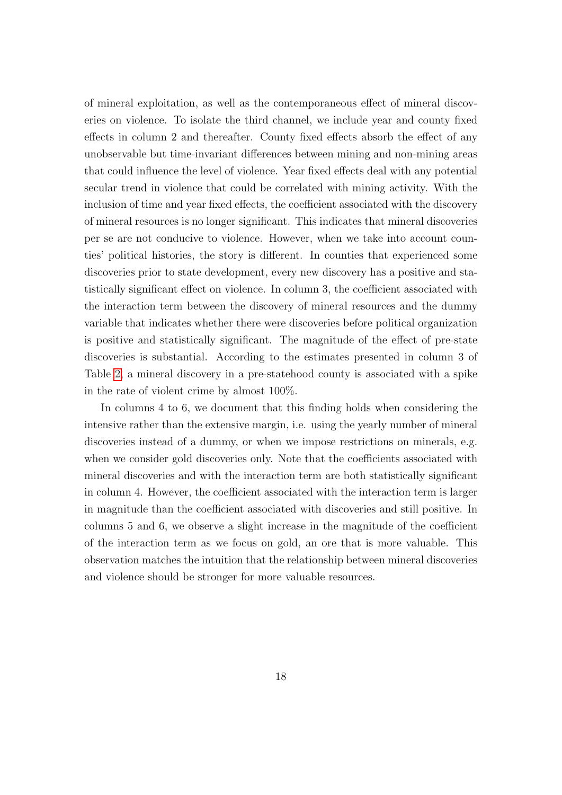of mineral exploitation, as well as the contemporaneous effect of mineral discoveries on violence. To isolate the third channel, we include year and county fixed effects in column 2 and thereafter. County fixed effects absorb the effect of any unobservable but time-invariant differences between mining and non-mining areas that could influence the level of violence. Year fixed effects deal with any potential secular trend in violence that could be correlated with mining activity. With the inclusion of time and year fixed effects, the coefficient associated with the discovery of mineral resources is no longer significant. This indicates that mineral discoveries per se are not conducive to violence. However, when we take into account counties' political histories, the story is different. In counties that experienced some discoveries prior to state development, every new discovery has a positive and statistically significant effect on violence. In column 3, the coefficient associated with the interaction term between the discovery of mineral resources and the dummy variable that indicates whether there were discoveries before political organization is positive and statistically significant. The magnitude of the effect of pre-state discoveries is substantial. According to the estimates presented in column 3 of Table [2,](#page-38-0) a mineral discovery in a pre-statehood county is associated with a spike in the rate of violent crime by almost 100%.

In columns 4 to 6, we document that this finding holds when considering the intensive rather than the extensive margin, i.e. using the yearly number of mineral discoveries instead of a dummy, or when we impose restrictions on minerals, e.g. when we consider gold discoveries only. Note that the coefficients associated with mineral discoveries and with the interaction term are both statistically significant in column 4. However, the coefficient associated with the interaction term is larger in magnitude than the coefficient associated with discoveries and still positive. In columns 5 and 6, we observe a slight increase in the magnitude of the coefficient of the interaction term as we focus on gold, an ore that is more valuable. This observation matches the intuition that the relationship between mineral discoveries and violence should be stronger for more valuable resources.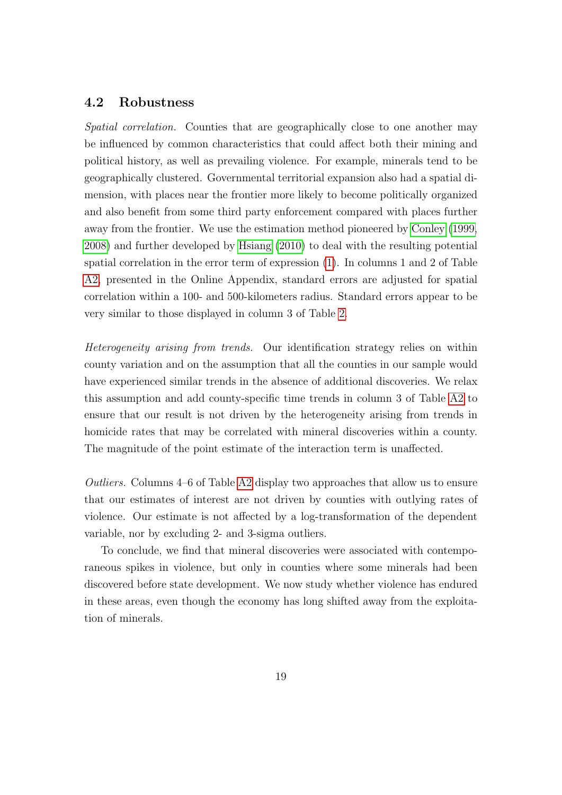### 4.2 Robustness

Spatial correlation. Counties that are geographically close to one another may be influenced by common characteristics that could affect both their mining and political history, as well as prevailing violence. For example, minerals tend to be geographically clustered. Governmental territorial expansion also had a spatial dimension, with places near the frontier more likely to become politically organized and also benefit from some third party enforcement compared with places further away from the frontier. We use the estimation method pioneered by [Conley](#page-29-9) [\(1999,](#page-29-9) [2008\)](#page-29-10) and further developed by [Hsiang](#page-30-9) [\(2010\)](#page-30-9) to deal with the resulting potential spatial correlation in the error term of expression [\(1\)](#page-13-0). In columns 1 and 2 of Table [A2,](#page-1-0) presented in the Online Appendix, standard errors are adjusted for spatial correlation within a 100- and 500-kilometers radius. Standard errors appear to be very similar to those displayed in column 3 of Table [2.](#page-38-0)

Heterogeneity arising from trends. Our identification strategy relies on within county variation and on the assumption that all the counties in our sample would have experienced similar trends in the absence of additional discoveries. We relax this assumption and add county-specific time trends in column 3 of Table [A2](#page-1-0) to ensure that our result is not driven by the heterogeneity arising from trends in homicide rates that may be correlated with mineral discoveries within a county. The magnitude of the point estimate of the interaction term is unaffected.

Outliers. Columns 4–6 of Table [A2](#page-1-0) display two approaches that allow us to ensure that our estimates of interest are not driven by counties with outlying rates of violence. Our estimate is not affected by a log-transformation of the dependent variable, nor by excluding 2- and 3-sigma outliers.

To conclude, we find that mineral discoveries were associated with contemporaneous spikes in violence, but only in counties where some minerals had been discovered before state development. We now study whether violence has endured in these areas, even though the economy has long shifted away from the exploitation of minerals.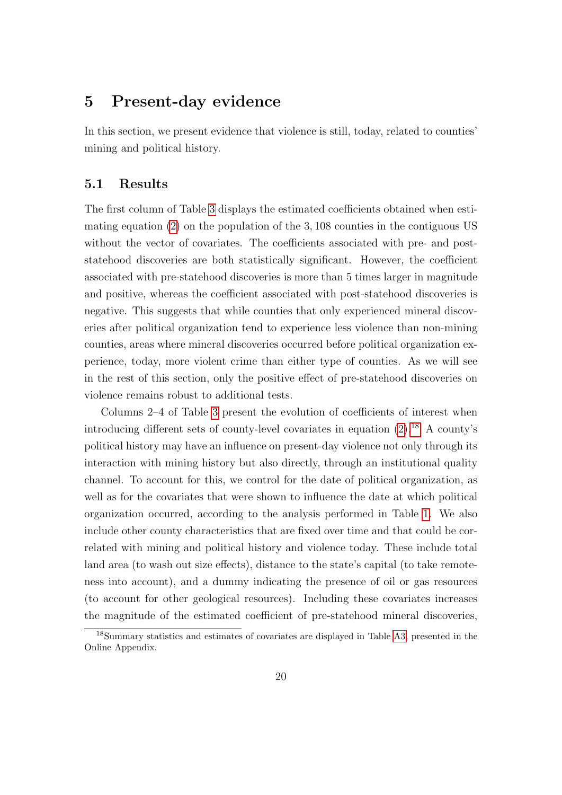## <span id="page-20-0"></span>5 Present-day evidence

In this section, we present evidence that violence is still, today, related to counties' mining and political history.

### 5.1 Results

The first column of Table [3](#page-39-0) displays the estimated coefficients obtained when estimating equation  $(2)$  on the population of the 3, 108 counties in the contiguous US without the vector of covariates. The coefficients associated with pre- and poststatehood discoveries are both statistically significant. However, the coefficient associated with pre-statehood discoveries is more than 5 times larger in magnitude and positive, whereas the coefficient associated with post-statehood discoveries is negative. This suggests that while counties that only experienced mineral discoveries after political organization tend to experience less violence than non-mining counties, areas where mineral discoveries occurred before political organization experience, today, more violent crime than either type of counties. As we will see in the rest of this section, only the positive effect of pre-statehood discoveries on violence remains robust to additional tests.

Columns 2–4 of Table [3](#page-39-0) present the evolution of coefficients of interest when introducing different sets of county-level covariates in equation  $(2)$ .<sup>[18](#page-20-1)</sup> A county's political history may have an influence on present-day violence not only through its interaction with mining history but also directly, through an institutional quality channel. To account for this, we control for the date of political organization, as well as for the covariates that were shown to influence the date at which political organization occurred, according to the analysis performed in Table [1.](#page-37-0) We also include other county characteristics that are fixed over time and that could be correlated with mining and political history and violence today. These include total land area (to wash out size effects), distance to the state's capital (to take remoteness into account), and a dummy indicating the presence of oil or gas resources (to account for other geological resources). Including these covariates increases the magnitude of the estimated coefficient of pre-statehood mineral discoveries,

<span id="page-20-1"></span><sup>18</sup>Summary statistics and estimates of covariates are displayed in Table [A3,](#page-1-0) presented in the Online Appendix.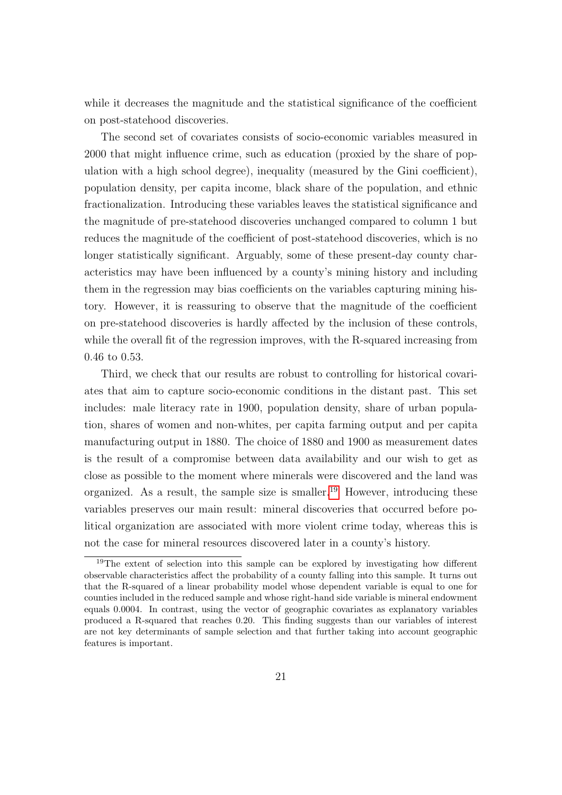while it decreases the magnitude and the statistical significance of the coefficient on post-statehood discoveries.

The second set of covariates consists of socio-economic variables measured in 2000 that might influence crime, such as education (proxied by the share of population with a high school degree), inequality (measured by the Gini coefficient), population density, per capita income, black share of the population, and ethnic fractionalization. Introducing these variables leaves the statistical significance and the magnitude of pre-statehood discoveries unchanged compared to column 1 but reduces the magnitude of the coefficient of post-statehood discoveries, which is no longer statistically significant. Arguably, some of these present-day county characteristics may have been influenced by a county's mining history and including them in the regression may bias coefficients on the variables capturing mining history. However, it is reassuring to observe that the magnitude of the coefficient on pre-statehood discoveries is hardly affected by the inclusion of these controls, while the overall fit of the regression improves, with the R-squared increasing from 0.46 to 0.53.

Third, we check that our results are robust to controlling for historical covariates that aim to capture socio-economic conditions in the distant past. This set includes: male literacy rate in 1900, population density, share of urban population, shares of women and non-whites, per capita farming output and per capita manufacturing output in 1880. The choice of 1880 and 1900 as measurement dates is the result of a compromise between data availability and our wish to get as close as possible to the moment where minerals were discovered and the land was organized. As a result, the sample size is smaller.<sup>[19](#page-21-0)</sup> However, introducing these variables preserves our main result: mineral discoveries that occurred before political organization are associated with more violent crime today, whereas this is not the case for mineral resources discovered later in a county's history.

<span id="page-21-0"></span><sup>&</sup>lt;sup>19</sup>The extent of selection into this sample can be explored by investigating how different observable characteristics affect the probability of a county falling into this sample. It turns out that the R-squared of a linear probability model whose dependent variable is equal to one for counties included in the reduced sample and whose right-hand side variable is mineral endowment equals 0.0004. In contrast, using the vector of geographic covariates as explanatory variables produced a R-squared that reaches 0.20. This finding suggests than our variables of interest are not key determinants of sample selection and that further taking into account geographic features is important.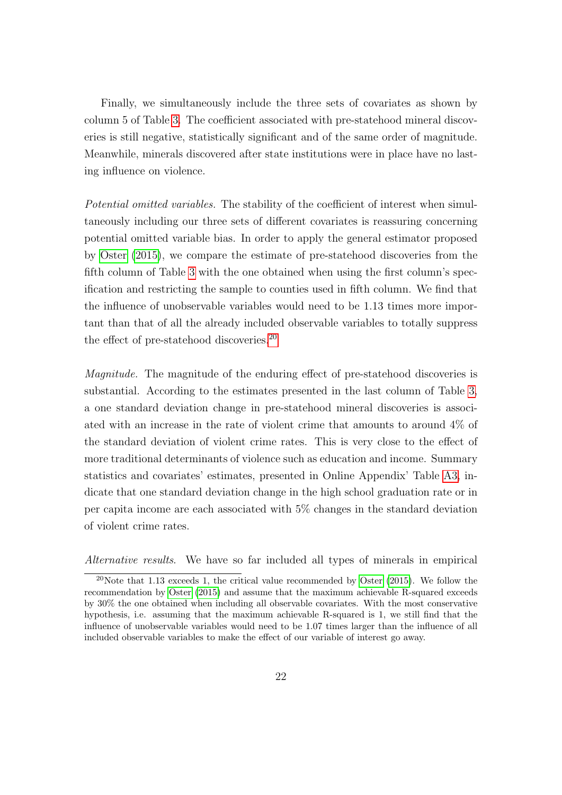Finally, we simultaneously include the three sets of covariates as shown by column 5 of Table [3.](#page-39-0) The coefficient associated with pre-statehood mineral discoveries is still negative, statistically significant and of the same order of magnitude. Meanwhile, minerals discovered after state institutions were in place have no lasting influence on violence.

Potential omitted variables. The stability of the coefficient of interest when simultaneously including our three sets of different covariates is reassuring concerning potential omitted variable bias. In order to apply the general estimator proposed by [Oster](#page-31-12) [\(2015\)](#page-31-12), we compare the estimate of pre-statehood discoveries from the fifth column of Table [3](#page-39-0) with the one obtained when using the first column's specification and restricting the sample to counties used in fifth column. We find that the influence of unobservable variables would need to be 1.13 times more important than that of all the already included observable variables to totally suppress the effect of pre-statehood discoveries.<sup>[20](#page-22-0)</sup>

Magnitude. The magnitude of the enduring effect of pre-statehood discoveries is substantial. According to the estimates presented in the last column of Table [3,](#page-39-0) a one standard deviation change in pre-statehood mineral discoveries is associated with an increase in the rate of violent crime that amounts to around 4% of the standard deviation of violent crime rates. This is very close to the effect of more traditional determinants of violence such as education and income. Summary statistics and covariates' estimates, presented in Online Appendix' Table [A3,](#page-1-0) indicate that one standard deviation change in the high school graduation rate or in per capita income are each associated with 5% changes in the standard deviation of violent crime rates.

Alternative results. We have so far included all types of minerals in empirical

<span id="page-22-0"></span><sup>&</sup>lt;sup>20</sup>Note that 1.13 exceeds 1, the critical value recommended by [Oster](#page-31-12) [\(2015\)](#page-31-12). We follow the recommendation by [Oster](#page-31-12) [\(2015\)](#page-31-12) and assume that the maximum achievable R-squared exceeds by 30% the one obtained when including all observable covariates. With the most conservative hypothesis, i.e. assuming that the maximum achievable R-squared is 1, we still find that the influence of unobservable variables would need to be 1.07 times larger than the influence of all included observable variables to make the effect of our variable of interest go away.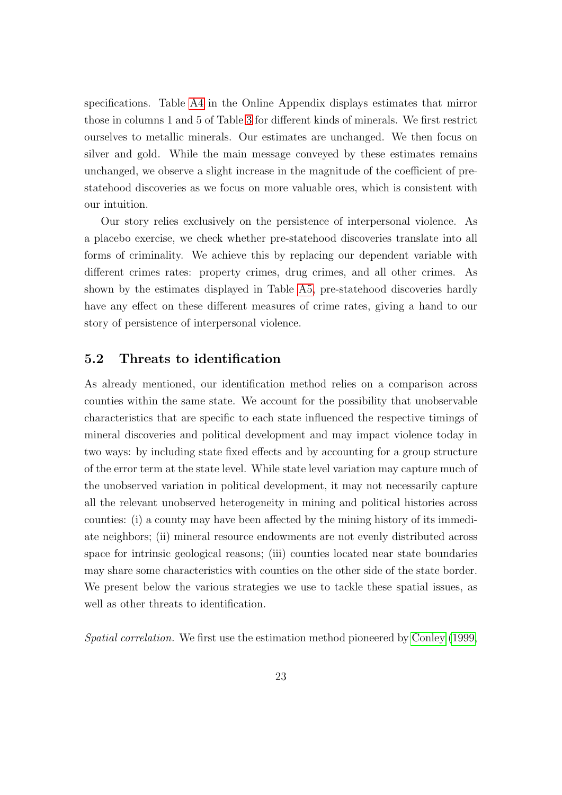specifications. Table [A4](#page-1-0) in the Online Appendix displays estimates that mirror those in columns 1 and 5 of Table [3](#page-39-0) for different kinds of minerals. We first restrict ourselves to metallic minerals. Our estimates are unchanged. We then focus on silver and gold. While the main message conveyed by these estimates remains unchanged, we observe a slight increase in the magnitude of the coefficient of prestatehood discoveries as we focus on more valuable ores, which is consistent with our intuition.

Our story relies exclusively on the persistence of interpersonal violence. As a placebo exercise, we check whether pre-statehood discoveries translate into all forms of criminality. We achieve this by replacing our dependent variable with different crimes rates: property crimes, drug crimes, and all other crimes. As shown by the estimates displayed in Table [A5,](#page-1-0) pre-statehood discoveries hardly have any effect on these different measures of crime rates, giving a hand to our story of persistence of interpersonal violence.

### <span id="page-23-0"></span>5.2 Threats to identification

As already mentioned, our identification method relies on a comparison across counties within the same state. We account for the possibility that unobservable characteristics that are specific to each state influenced the respective timings of mineral discoveries and political development and may impact violence today in two ways: by including state fixed effects and by accounting for a group structure of the error term at the state level. While state level variation may capture much of the unobserved variation in political development, it may not necessarily capture all the relevant unobserved heterogeneity in mining and political histories across counties: (i) a county may have been affected by the mining history of its immediate neighbors; (ii) mineral resource endowments are not evenly distributed across space for intrinsic geological reasons; (iii) counties located near state boundaries may share some characteristics with counties on the other side of the state border. We present below the various strategies we use to tackle these spatial issues, as well as other threats to identification.

Spatial correlation. We first use the estimation method pioneered by [Conley](#page-29-9) [\(1999,](#page-29-9)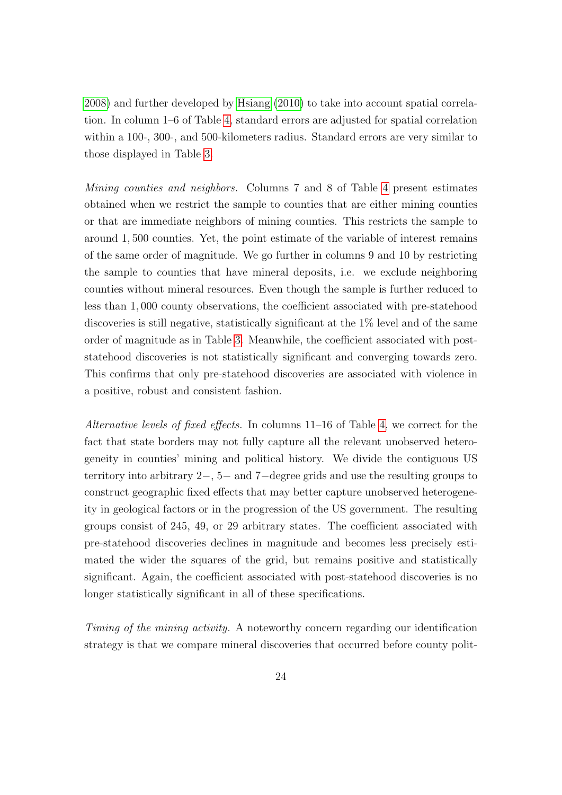[2008\)](#page-29-10) and further developed by [Hsiang](#page-30-9) [\(2010\)](#page-30-9) to take into account spatial correlation. In column 1–6 of Table [4,](#page-40-0) standard errors are adjusted for spatial correlation within a 100-, 300-, and 500-kilometers radius. Standard errors are very similar to those displayed in Table [3.](#page-39-0)

Mining counties and neighbors. Columns 7 and 8 of Table [4](#page-40-0) present estimates obtained when we restrict the sample to counties that are either mining counties or that are immediate neighbors of mining counties. This restricts the sample to around 1, 500 counties. Yet, the point estimate of the variable of interest remains of the same order of magnitude. We go further in columns 9 and 10 by restricting the sample to counties that have mineral deposits, i.e. we exclude neighboring counties without mineral resources. Even though the sample is further reduced to less than 1, 000 county observations, the coefficient associated with pre-statehood discoveries is still negative, statistically significant at the 1% level and of the same order of magnitude as in Table [3.](#page-39-0) Meanwhile, the coefficient associated with poststatehood discoveries is not statistically significant and converging towards zero. This confirms that only pre-statehood discoveries are associated with violence in a positive, robust and consistent fashion.

Alternative levels of fixed effects. In columns 11–16 of Table [4,](#page-40-0) we correct for the fact that state borders may not fully capture all the relevant unobserved heterogeneity in counties' mining and political history. We divide the contiguous US territory into arbitrary 2−, 5− and 7−degree grids and use the resulting groups to construct geographic fixed effects that may better capture unobserved heterogeneity in geological factors or in the progression of the US government. The resulting groups consist of 245, 49, or 29 arbitrary states. The coefficient associated with pre-statehood discoveries declines in magnitude and becomes less precisely estimated the wider the squares of the grid, but remains positive and statistically significant. Again, the coefficient associated with post-statehood discoveries is no longer statistically significant in all of these specifications.

Timing of the mining activity. A noteworthy concern regarding our identification strategy is that we compare mineral discoveries that occurred before county polit-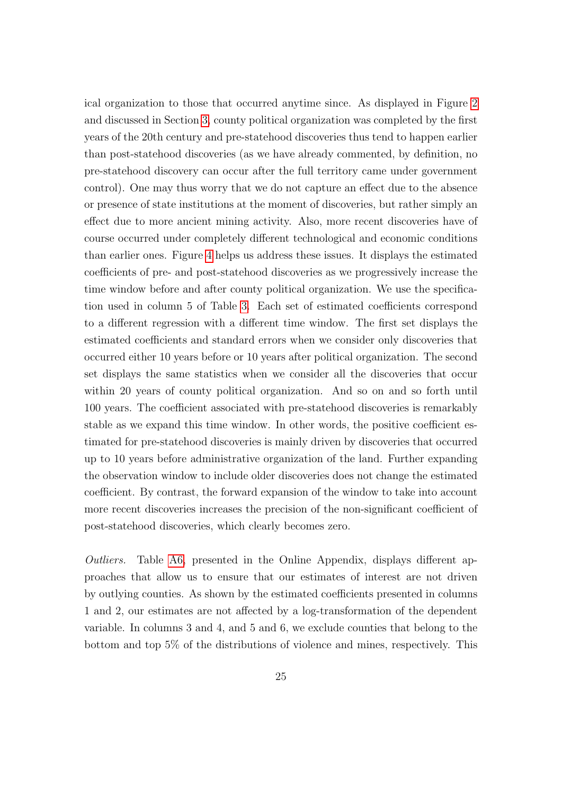ical organization to those that occurred anytime since. As displayed in Figure [2](#page-34-0) and discussed in Section [3,](#page-9-0) county political organization was completed by the first years of the 20th century and pre-statehood discoveries thus tend to happen earlier than post-statehood discoveries (as we have already commented, by definition, no pre-statehood discovery can occur after the full territory came under government control). One may thus worry that we do not capture an effect due to the absence or presence of state institutions at the moment of discoveries, but rather simply an effect due to more ancient mining activity. Also, more recent discoveries have of course occurred under completely different technological and economic conditions than earlier ones. Figure [4](#page-36-0) helps us address these issues. It displays the estimated coefficients of pre- and post-statehood discoveries as we progressively increase the time window before and after county political organization. We use the specification used in column 5 of Table [3.](#page-39-0) Each set of estimated coefficients correspond to a different regression with a different time window. The first set displays the estimated coefficients and standard errors when we consider only discoveries that occurred either 10 years before or 10 years after political organization. The second set displays the same statistics when we consider all the discoveries that occur within 20 years of county political organization. And so on and so forth until 100 years. The coefficient associated with pre-statehood discoveries is remarkably stable as we expand this time window. In other words, the positive coefficient estimated for pre-statehood discoveries is mainly driven by discoveries that occurred up to 10 years before administrative organization of the land. Further expanding the observation window to include older discoveries does not change the estimated coefficient. By contrast, the forward expansion of the window to take into account more recent discoveries increases the precision of the non-significant coefficient of post-statehood discoveries, which clearly becomes zero.

Outliers. Table [A6,](#page-1-0) presented in the Online Appendix, displays different approaches that allow us to ensure that our estimates of interest are not driven by outlying counties. As shown by the estimated coefficients presented in columns 1 and 2, our estimates are not affected by a log-transformation of the dependent variable. In columns 3 and 4, and 5 and 6, we exclude counties that belong to the bottom and top 5% of the distributions of violence and mines, respectively. This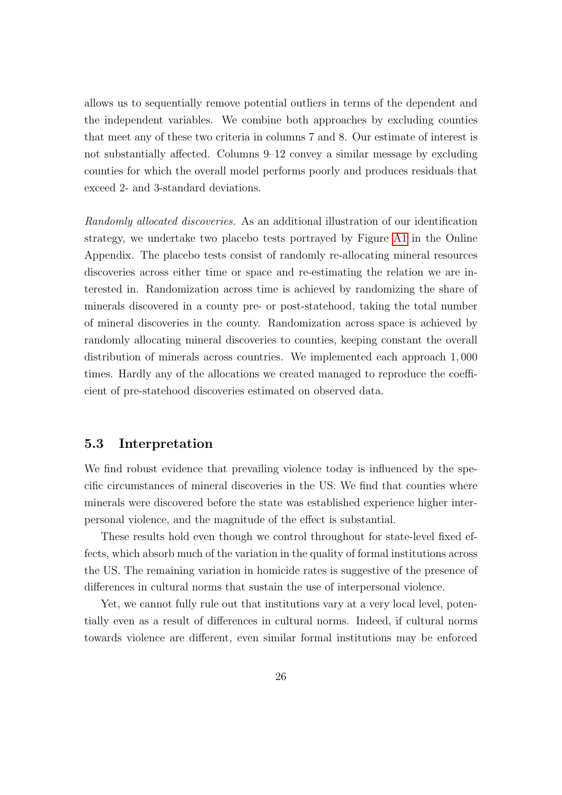allows us to sequentially remove potential outliers in terms of the dependent and the independent variables. We combine both approaches by excluding counties that meet any of these two criteria in columns 7 and 8. Our estimate of interest is not substantially affected. Columns 9–12 convey a similar message by excluding counties for which the overall model performs poorly and produces residuals that exceed 2- and 3-standard deviations.

Randomly allocated discoveries. As an additional illustration of our identification strategy, we undertake two placebo tests portrayed by Figure [A1](#page-1-0) in the Online Appendix. The placebo tests consist of randomly re-allocating mineral resources discoveries across either time or space and re-estimating the relation we are interested in. Randomization across time is achieved by randomizing the share of minerals discovered in a county pre- or post-statehood, taking the total number of mineral discoveries in the county. Randomization across space is achieved by randomly allocating mineral discoveries to counties, keeping constant the overall distribution of minerals across countries. We implemented each approach 1, 000 times. Hardly any of the allocations we created managed to reproduce the coefficient of pre-statehood discoveries estimated on observed data.

### 5.3 Interpretation

We find robust evidence that prevailing violence today is influenced by the specific circumstances of mineral discoveries in the US. We find that counties where minerals were discovered before the state was established experience higher interpersonal violence, and the magnitude of the effect is substantial.

These results hold even though we control throughout for state-level fixed effects, which absorb much of the variation in the quality of formal institutions across the US. The remaining variation in homicide rates is suggestive of the presence of differences in cultural norms that sustain the use of interpersonal violence.

Yet, we cannot fully rule out that institutions vary at a very local level, potentially even as a result of differences in cultural norms. Indeed, if cultural norms towards violence are different, even similar formal institutions may be enforced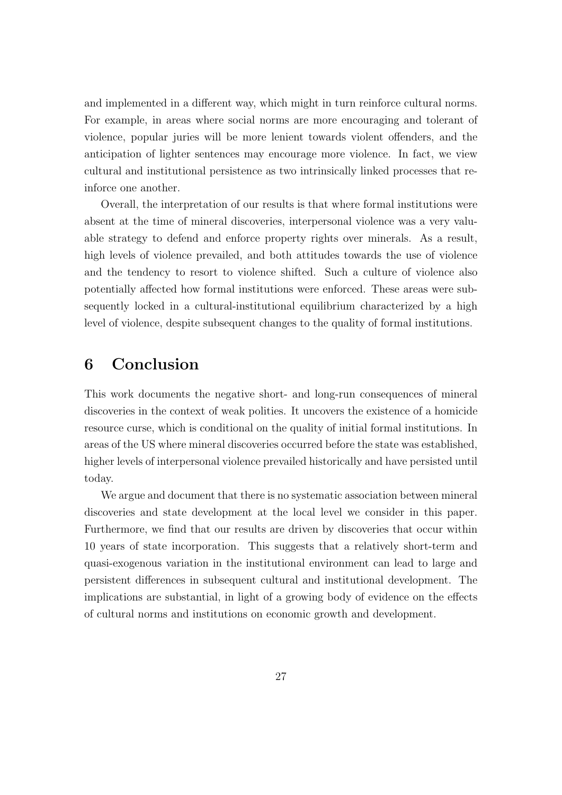and implemented in a different way, which might in turn reinforce cultural norms. For example, in areas where social norms are more encouraging and tolerant of violence, popular juries will be more lenient towards violent offenders, and the anticipation of lighter sentences may encourage more violence. In fact, we view cultural and institutional persistence as two intrinsically linked processes that reinforce one another.

Overall, the interpretation of our results is that where formal institutions were absent at the time of mineral discoveries, interpersonal violence was a very valuable strategy to defend and enforce property rights over minerals. As a result, high levels of violence prevailed, and both attitudes towards the use of violence and the tendency to resort to violence shifted. Such a culture of violence also potentially affected how formal institutions were enforced. These areas were subsequently locked in a cultural-institutional equilibrium characterized by a high level of violence, despite subsequent changes to the quality of formal institutions.

# <span id="page-27-0"></span>6 Conclusion

This work documents the negative short- and long-run consequences of mineral discoveries in the context of weak polities. It uncovers the existence of a homicide resource curse, which is conditional on the quality of initial formal institutions. In areas of the US where mineral discoveries occurred before the state was established, higher levels of interpersonal violence prevailed historically and have persisted until today.

We argue and document that there is no systematic association between mineral discoveries and state development at the local level we consider in this paper. Furthermore, we find that our results are driven by discoveries that occur within 10 years of state incorporation. This suggests that a relatively short-term and quasi-exogenous variation in the institutional environment can lead to large and persistent differences in subsequent cultural and institutional development. The implications are substantial, in light of a growing body of evidence on the effects of cultural norms and institutions on economic growth and development.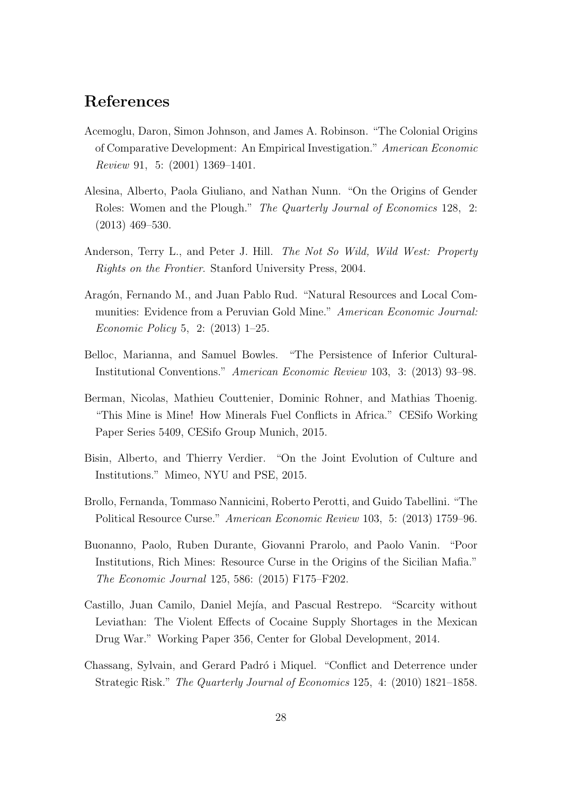# References

- <span id="page-28-9"></span>Acemoglu, Daron, Simon Johnson, and James A. Robinson. "The Colonial Origins of Comparative Development: An Empirical Investigation." American Economic Review 91, 5: (2001) 1369–1401.
- <span id="page-28-6"></span>Alesina, Alberto, Paola Giuliano, and Nathan Nunn. "On the Origins of Gender Roles: Women and the Plough." The Quarterly Journal of Economics 128, 2: (2013) 469–530.
- <span id="page-28-5"></span>Anderson, Terry L., and Peter J. Hill. The Not So Wild, Wild West: Property Rights on the Frontier. Stanford University Press, 2004.
- <span id="page-28-1"></span>Aragón, Fernando M., and Juan Pablo Rud. "Natural Resources and Local Communities: Evidence from a Peruvian Gold Mine." American Economic Journal: Economic Policy 5, 2: (2013) 1–25.
- <span id="page-28-10"></span>Belloc, Marianna, and Samuel Bowles. "The Persistence of Inferior Cultural-Institutional Conventions." American Economic Review 103, 3: (2013) 93–98.
- <span id="page-28-0"></span>Berman, Nicolas, Mathieu Couttenier, Dominic Rohner, and Mathias Thoenig. "This Mine is Mine! How Minerals Fuel Conflicts in Africa." CESifo Working Paper Series 5409, CESifo Group Munich, 2015.
- <span id="page-28-7"></span>Bisin, Alberto, and Thierry Verdier. "On the Joint Evolution of Culture and Institutions." Mimeo, NYU and PSE, 2015.
- <span id="page-28-4"></span>Brollo, Fernanda, Tommaso Nannicini, Roberto Perotti, and Guido Tabellini. "The Political Resource Curse." American Economic Review 103, 5: (2013) 1759–96.
- <span id="page-28-3"></span>Buonanno, Paolo, Ruben Durante, Giovanni Prarolo, and Paolo Vanin. "Poor Institutions, Rich Mines: Resource Curse in the Origins of the Sicilian Mafia." The Economic Journal 125, 586: (2015) F175–F202.
- <span id="page-28-2"></span>Castillo, Juan Camilo, Daniel Mejía, and Pascual Restrepo. "Scarcity without Leviathan: The Violent Effects of Cocaine Supply Shortages in the Mexican Drug War." Working Paper 356, Center for Global Development, 2014.
- <span id="page-28-8"></span>Chassang, Sylvain, and Gerard Padró i Miquel. "Conflict and Deterrence under Strategic Risk." The Quarterly Journal of Economics 125, 4: (2010) 1821–1858.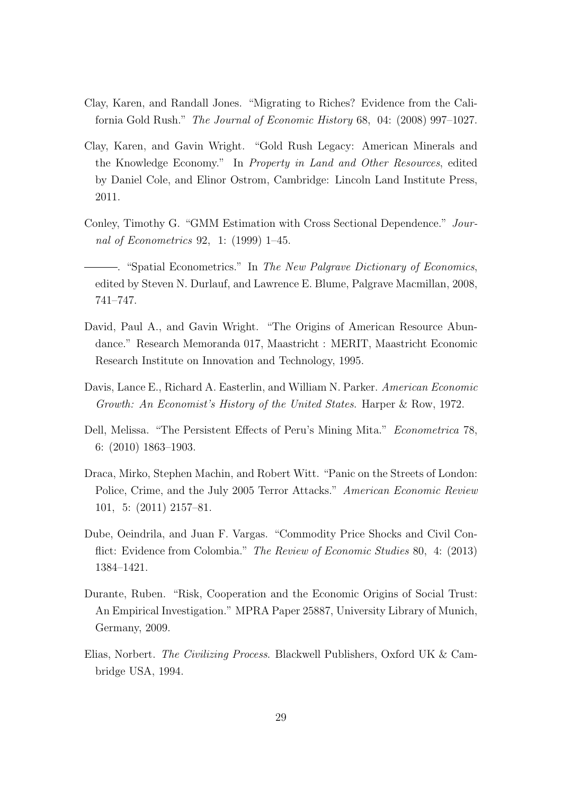- <span id="page-29-8"></span>Clay, Karen, and Randall Jones. "Migrating to Riches? Evidence from the California Gold Rush." The Journal of Economic History 68, 04: (2008) 997–1027.
- <span id="page-29-7"></span>Clay, Karen, and Gavin Wright. "Gold Rush Legacy: American Minerals and the Knowledge Economy." In Property in Land and Other Resources, edited by Daniel Cole, and Elinor Ostrom, Cambridge: Lincoln Land Institute Press, 2011.
- <span id="page-29-9"></span>Conley, Timothy G. "GMM Estimation with Cross Sectional Dependence." Journal of Econometrics 92, 1: (1999) 1–45.
- <span id="page-29-10"></span>-. "Spatial Econometrics." In The New Palgrave Dictionary of Economics, edited by Steven N. Durlauf, and Lawrence E. Blume, Palgrave Macmillan, 2008, 741–747.
- <span id="page-29-6"></span>David, Paul A., and Gavin Wright. "The Origins of American Resource Abundance." Research Memoranda 017, Maastricht : MERIT, Maastricht Economic Research Institute on Innovation and Technology, 1995.
- <span id="page-29-1"></span>Davis, Lance E., Richard A. Easterlin, and William N. Parker. American Economic Growth: An Economist's History of the United States. Harper & Row, 1972.
- <span id="page-29-5"></span>Dell, Melissa. "The Persistent Effects of Peru's Mining Mita." Econometrica 78, 6: (2010) 1863–1903.
- <span id="page-29-3"></span>Draca, Mirko, Stephen Machin, and Robert Witt. "Panic on the Streets of London: Police, Crime, and the July 2005 Terror Attacks." American Economic Review 101, 5: (2011) 2157–81.
- <span id="page-29-0"></span>Dube, Oeindrila, and Juan F. Vargas. "Commodity Price Shocks and Civil Conflict: Evidence from Colombia." The Review of Economic Studies 80, 4: (2013) 1384–1421.
- <span id="page-29-4"></span>Durante, Ruben. "Risk, Cooperation and the Economic Origins of Social Trust: An Empirical Investigation." MPRA Paper 25887, University Library of Munich, Germany, 2009.
- <span id="page-29-2"></span>Elias, Norbert. The Civilizing Process. Blackwell Publishers, Oxford UK & Cambridge USA, 1994.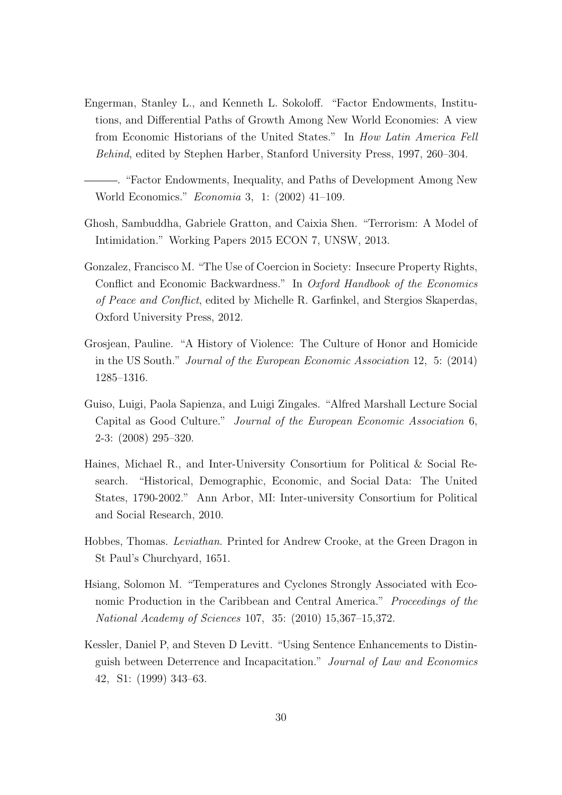- <span id="page-30-1"></span>Engerman, Stanley L., and Kenneth L. Sokoloff. "Factor Endowments, Institutions, and Differential Paths of Growth Among New World Economies: A view from Economic Historians of the United States." In How Latin America Fell Behind, edited by Stephen Harber, Stanford University Press, 1997, 260–304.
- <span id="page-30-2"></span>. "Factor Endowments, Inequality, and Paths of Development Among New World Economics." Economia 3, 1: (2002) 41–109.
- <span id="page-30-6"></span>Ghosh, Sambuddha, Gabriele Gratton, and Caixia Shen. "Terrorism: A Model of Intimidation." Working Papers 2015 ECON 7, UNSW, 2013.
- <span id="page-30-5"></span>Gonzalez, Francisco M. "The Use of Coercion in Society: Insecure Property Rights, Conflict and Economic Backwardness." In Oxford Handbook of the Economics of Peace and Conflict, edited by Michelle R. Garfinkel, and Stergios Skaperdas, Oxford University Press, 2012.
- <span id="page-30-4"></span>Grosjean, Pauline. "A History of Violence: The Culture of Honor and Homicide in the US South." Journal of the European Economic Association 12, 5: (2014) 1285–1316.
- <span id="page-30-7"></span>Guiso, Luigi, Paola Sapienza, and Luigi Zingales. "Alfred Marshall Lecture Social Capital as Good Culture." Journal of the European Economic Association 6, 2-3: (2008) 295–320.
- <span id="page-30-8"></span>Haines, Michael R., and Inter-University Consortium for Political & Social Research. "Historical, Demographic, Economic, and Social Data: The United States, 1790-2002." Ann Arbor, MI: Inter-university Consortium for Political and Social Research, 2010.
- <span id="page-30-0"></span>Hobbes, Thomas. Leviathan. Printed for Andrew Crooke, at the Green Dragon in St Paul's Churchyard, 1651.
- <span id="page-30-9"></span>Hsiang, Solomon M. "Temperatures and Cyclones Strongly Associated with Economic Production in the Caribbean and Central America." Proceedings of the National Academy of Sciences 107, 35: (2010) 15,367–15,372.
- <span id="page-30-3"></span>Kessler, Daniel P, and Steven D Levitt. "Using Sentence Enhancements to Distinguish between Deterrence and Incapacitation." Journal of Law and Economics 42, S1: (1999) 343–63.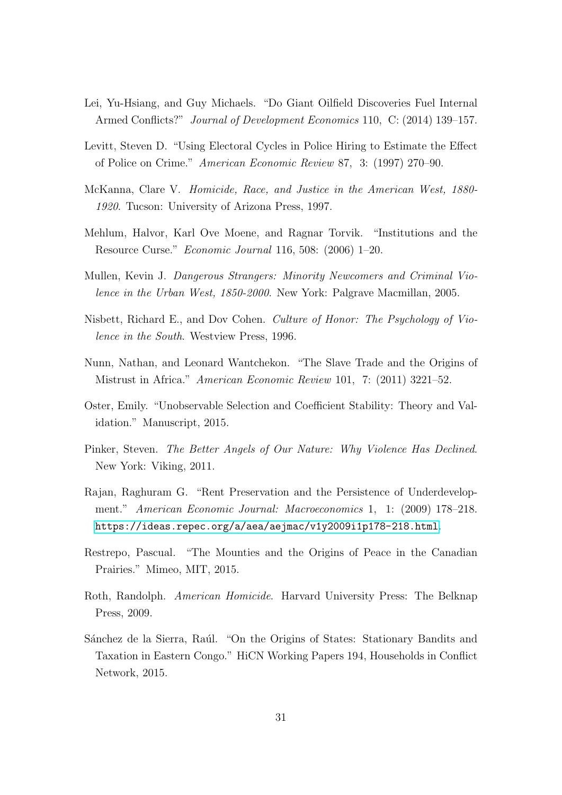- <span id="page-31-1"></span>Lei, Yu-Hsiang, and Guy Michaels. "Do Giant Oilfield Discoveries Fuel Internal Armed Conflicts?" Journal of Development Economics 110, C: (2014) 139–157.
- <span id="page-31-6"></span>Levitt, Steven D. "Using Electoral Cycles in Police Hiring to Estimate the Effect of Police on Crime." American Economic Review 87, 3: (1997) 270–90.
- <span id="page-31-11"></span>McKanna, Clare V. Homicide, Race, and Justice in the American West, 1880- 1920. Tucson: University of Arizona Press, 1997.
- <span id="page-31-0"></span>Mehlum, Halvor, Karl Ove Moene, and Ragnar Torvik. "Institutions and the Resource Curse." Economic Journal 116, 508: (2006) 1–20.
- <span id="page-31-10"></span>Mullen, Kevin J. Dangerous Strangers: Minority Newcomers and Criminal Violence in the Urban West, 1850-2000. New York: Palgrave Macmillan, 2005.
- <span id="page-31-7"></span>Nisbett, Richard E., and Dov Cohen. Culture of Honor: The Psychology of Violence in the South. Westview Press, 1996.
- <span id="page-31-8"></span>Nunn, Nathan, and Leonard Wantchekon. "The Slave Trade and the Origins of Mistrust in Africa." American Economic Review 101, 7: (2011) 3221–52.
- <span id="page-31-12"></span>Oster, Emily. "Unobservable Selection and Coefficient Stability: Theory and Validation." Manuscript, 2015.
- <span id="page-31-4"></span>Pinker, Steven. The Better Angels of Our Nature: Why Violence Has Declined. New York: Viking, 2011.
- <span id="page-31-3"></span>Rajan, Raghuram G. "Rent Preservation and the Persistence of Underdevelopment." American Economic Journal: Macroeconomics 1, 1: (2009) 178–218. <https://ideas.repec.org/a/aea/aejmac/v1y2009i1p178-218.html>.
- <span id="page-31-9"></span>Restrepo, Pascual. "The Mounties and the Origins of Peace in the Canadian Prairies." Mimeo, MIT, 2015.
- <span id="page-31-5"></span>Roth, Randolph. American Homicide. Harvard University Press: The Belknap Press, 2009.
- <span id="page-31-2"></span>Sánchez de la Sierra, Raúl. "On the Origins of States: Stationary Bandits and Taxation in Eastern Congo." HiCN Working Papers 194, Households in Conflict Network, 2015.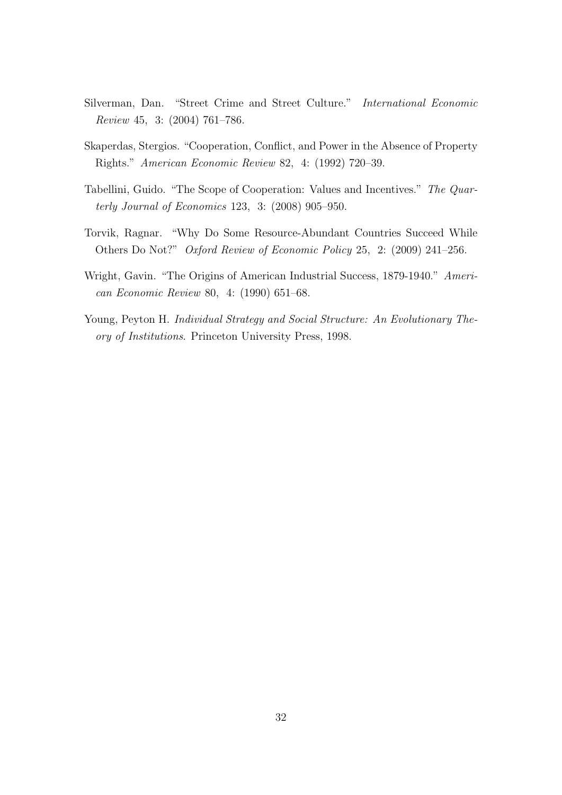- <span id="page-32-2"></span>Silverman, Dan. "Street Crime and Street Culture." International Economic Review 45, 3: (2004) 761–786.
- <span id="page-32-1"></span>Skaperdas, Stergios. "Cooperation, Conflict, and Power in the Absence of Property Rights." American Economic Review 82, 4: (1992) 720–39.
- <span id="page-32-3"></span>Tabellini, Guido. "The Scope of Cooperation: Values and Incentives." The Quarterly Journal of Economics 123, 3: (2008) 905–950.
- <span id="page-32-0"></span>Torvik, Ragnar. "Why Do Some Resource-Abundant Countries Succeed While Others Do Not?" Oxford Review of Economic Policy 25, 2: (2009) 241–256.
- <span id="page-32-5"></span>Wright, Gavin. "The Origins of American Industrial Success, 1879-1940." American Economic Review 80, 4: (1990) 651–68.
- <span id="page-32-4"></span>Young, Peyton H. Individual Strategy and Social Structure: An Evolutionary Theory of Institutions. Princeton University Press, 1998.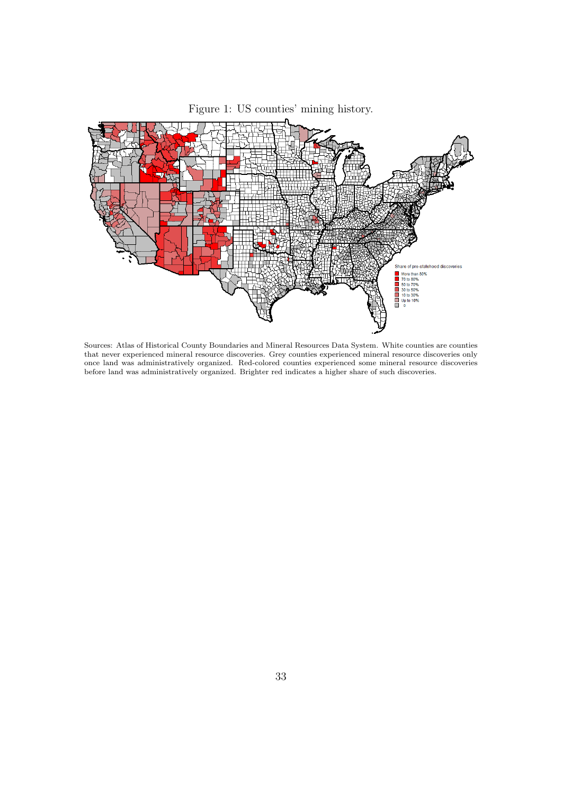

<span id="page-33-0"></span>Figure 1: US counties' mining history.

Sources: Atlas of Historical County Boundaries and Mineral Resources Data System. White counties are counties that never experienced mineral resource discoveries. Grey counties experienced mineral resource discoveries only once land was administratively organized. Red-colored counties experienced some mineral resource discoveries before land was administratively organized. Brighter red indicates a higher share of such discoveries.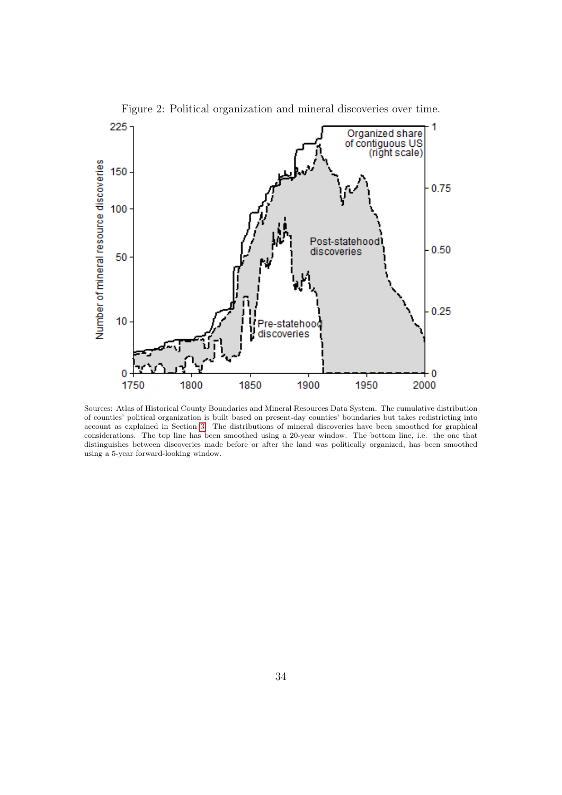

<span id="page-34-0"></span>Figure 2: Political organization and mineral discoveries over time.

Sources: Atlas of Historical County Boundaries and Mineral Resources Data System. The cumulative distribution of counties' political organization is built based on present-day counties' boundaries but takes redistricting into account as explained in Section [3.](#page-9-0) The distributions of mineral discoveries have been smoothed for graphical considerations. The top line has been smoothed using a 20-year window. The bottom line, i.e. the one that distinguishes between discoveries made before or after the land was politically organized, has been smoothed using a 5-year forward-looking window.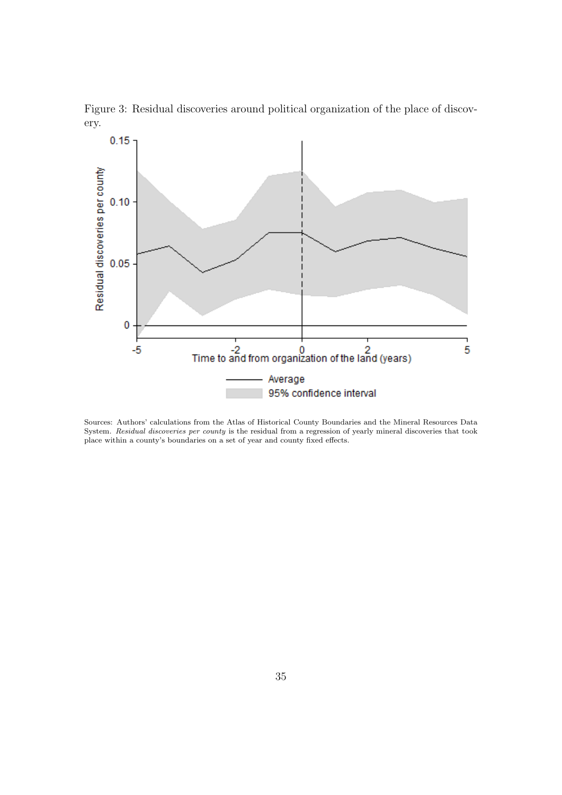

<span id="page-35-0"></span>Figure 3: Residual discoveries around political organization of the place of discovery.

Sources: Authors' calculations from the Atlas of Historical County Boundaries and the Mineral Resources Data System. Residual discoveries per county is the residual from a regression of yearly mineral discoveries that took place within a county's boundaries on a set of year and county fixed effects.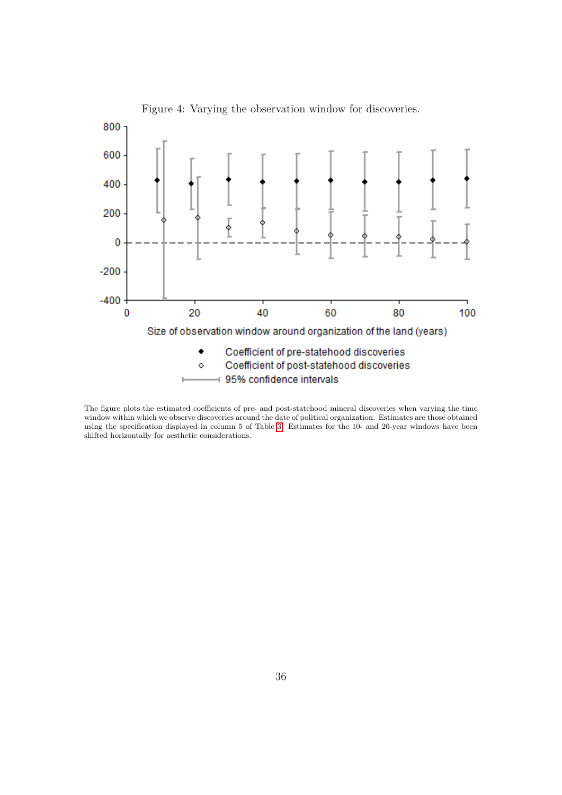

<span id="page-36-0"></span>Figure 4: Varying the observation window for discoveries.

The figure plots the estimated coefficients of pre- and post-statehood mineral discoveries when varying the time window within which we observe discoveries around the date of political organization. Estimates are those obtained using the specification displayed in column 5 of Table [3.](#page-39-0) Estimates for the 10- and 20-year windows have been shifted horizontally for aesthetic considerations.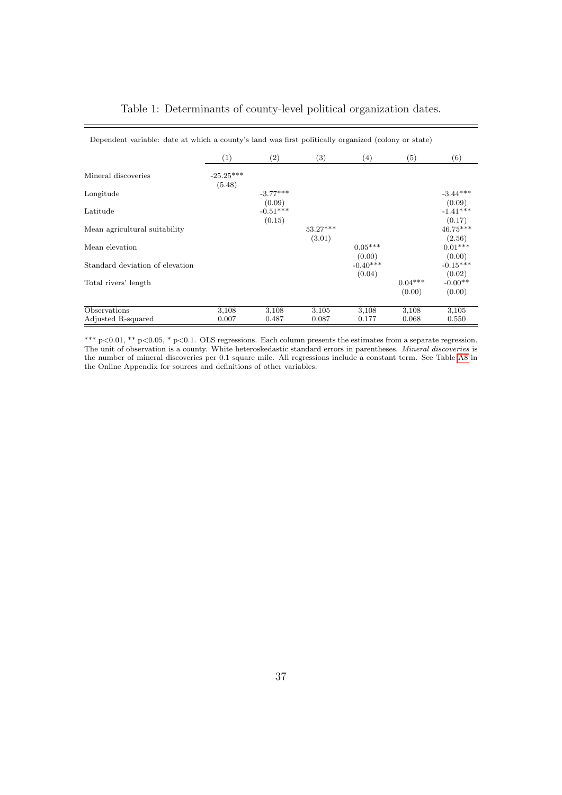| Dependent variable: date at which a county's land was first politically organized (colony or state) |                       |                                |                      |                                |                     |                                |
|-----------------------------------------------------------------------------------------------------|-----------------------|--------------------------------|----------------------|--------------------------------|---------------------|--------------------------------|
|                                                                                                     | (1)                   | $\left( 2\right)$              | (3)                  | (4)                            | $\left( 5\right)$   | (6)                            |
| Mineral discoveries                                                                                 | $-25.25***$<br>(5.48) |                                |                      |                                |                     |                                |
| Longitude                                                                                           |                       | $-3.77***$                     |                      |                                |                     | $-3.44***$                     |
| Latitude                                                                                            |                       | (0.09)<br>$-0.51***$<br>(0.15) |                      |                                |                     | (0.09)<br>$-1.41***$<br>(0.17) |
| Mean agricultural suitability                                                                       |                       |                                | $53.27***$<br>(3.01) |                                |                     | $46.75***$<br>(2.56)           |
| Mean elevation                                                                                      |                       |                                |                      | $0.05***$                      |                     | $0.01***$                      |
| Standard deviation of elevation                                                                     |                       |                                |                      | (0.00)<br>$-0.40***$<br>(0.04) |                     | (0.00)<br>$-0.15***$<br>(0.02) |
| Total rivers' length                                                                                |                       |                                |                      |                                | $0.04***$<br>(0.00) | $-0.00**$<br>(0.00)            |
| Observations                                                                                        | 3,108                 | 3,108                          | 3,105                | 3,108                          | 3,108               | 3,105                          |
| Adjusted R-squared                                                                                  | 0.007                 | 0.487                          | 0.087                | 0.177                          | 0.068               | 0.550                          |

#### <span id="page-37-0"></span>Table 1: Determinants of county-level political organization dates.

\*\*\* p<0.01, \*\* p<0.05, \* p<0.1. OLS regressions. Each column presents the estimates from a separate regression. The unit of observation is a county. White heteroskedastic standard errors in parentheses. Mineral discoveries is the number of mineral discoveries per 0.1 square mile. All regressions include a constant term. See Table [A8](#page-1-0) in the Online Appendix for sources and definitions of other variables.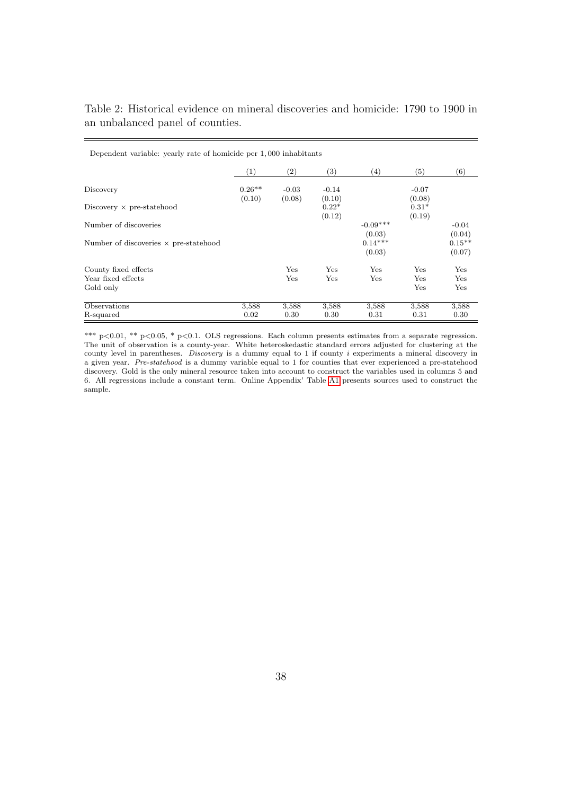| Dependent variable: yearly rate of homicide per 1,000 inhabitants |          |                   |         |            |              |          |
|-------------------------------------------------------------------|----------|-------------------|---------|------------|--------------|----------|
|                                                                   | (1)      | $\left( 2\right)$ | (3)     | (4)        | (5)          | (6)      |
| Discovery                                                         | $0.26**$ | $-0.03$           | $-0.14$ |            | $-0.07$      |          |
|                                                                   | (0.10)   | (0.08)            | (0.10)  |            | (0.08)       |          |
| Discovery $\times$ pre-statehood                                  |          |                   | $0.22*$ |            | $0.31*$      |          |
|                                                                   |          |                   | (0.12)  |            | (0.19)       |          |
| Number of discoveries                                             |          |                   |         | $-0.09***$ |              | $-0.04$  |
|                                                                   |          |                   |         | (0.03)     |              | (0.04)   |
| Number of discoveries $\times$ pre-statehood                      |          |                   |         | $0.14***$  |              | $0.15**$ |
|                                                                   |          |                   |         | (0.03)     |              | (0.07)   |
| County fixed effects                                              |          | Yes               | Yes     | Yes        | $_{\rm Yes}$ | Yes      |
| Year fixed effects                                                |          | Yes               | Yes     | Yes        | Yes          | Yes      |
| Gold only                                                         |          |                   |         |            | Yes          | Yes      |
| Observations                                                      | 3,588    | 3,588             | 3,588   | 3,588      | 3,588        | 3,588    |
| R-squared                                                         | 0.02     | 0.30              | 0.30    | 0.31       | 0.31         | 0.30     |

<span id="page-38-0"></span>Table 2: Historical evidence on mineral discoveries and homicide: 1790 to 1900 in an unbalanced panel of counties.

 $\frac{1}{2}$ 

\*\*\* p<0.01, \*\* p<0.05, \* p<0.1. OLS regressions. Each column presents estimates from a separate regression. The unit of observation is a county-year. White heteroskedastic standard errors adjusted for clustering at the county level in parentheses. Discovery is a dummy equal to 1 if county i experiments a mineral discovery in a given year. Pre-statehood is a dummy variable equal to 1 for counties that ever experienced a pre-statehood discovery. Gold is the only mineral resource taken into account to construct the variables used in columns 5 and 6. All regressions include a constant term. Online Appendix' Table [A1](#page-1-0) presents sources used to construct the sample.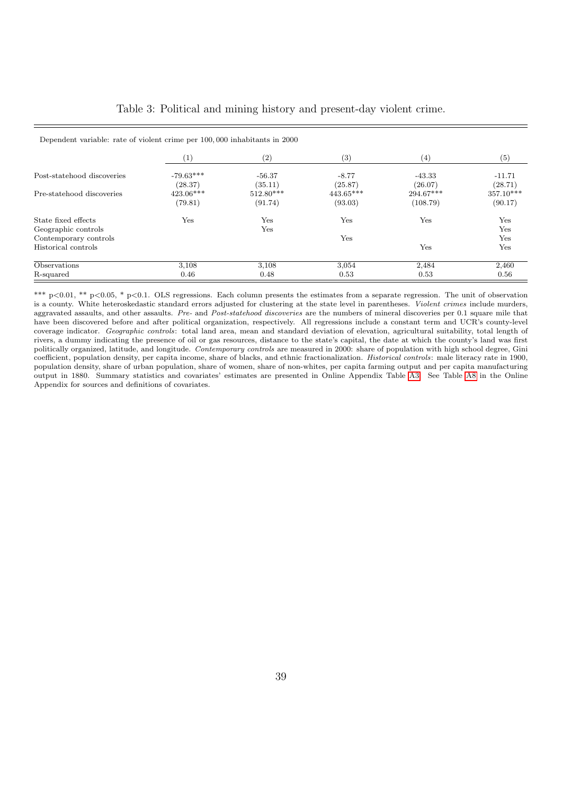| Dependent variable: rate of violent crime per 100,000 inhabitants in 2000 |                        |                        |                        |                         |                        |
|---------------------------------------------------------------------------|------------------------|------------------------|------------------------|-------------------------|------------------------|
|                                                                           | $\left(1\right)$       | $\left( 2\right)$      | $\left( 3\right)$      | (4)                     | (5)                    |
| Post-statehood discoveries                                                | $-79.63***$<br>(28.37) | $-56.37$<br>(35.11)    | $-8.77$<br>(25.87)     | $-43.33$<br>(26.07)     | $-11.71$<br>(28.71)    |
| Pre-statehood discoveries                                                 | $423.06***$<br>(79.81) | $512.80***$<br>(91.74) | $443.65***$<br>(93.03) | $294.67***$<br>(108.79) | $357.10***$<br>(90.17) |
| State fixed effects<br>Geographic controls                                | Yes                    | Yes<br>Yes             | Yes                    | Yes                     | Yes<br>Yes             |
| Contemporary controls                                                     |                        |                        | Yes                    |                         | Yes                    |
| Historical controls                                                       |                        |                        |                        | Yes                     | Yes                    |
| Observations                                                              | 3,108                  | 3,108                  | 3,054                  | 2,484                   | 2,460                  |
| R-squared                                                                 | 0.46                   | 0.48                   | 0.53                   | 0.53                    | 0.56                   |

#### <span id="page-39-0"></span>Table 3: Political and mining history and present-day violent crime.

\*\*\* p<0.01, \*\* p<0.05, \* p<0.1. OLS regressions. Each column presents the estimates from a separate regression. The unit of observation is a county. White heteroskedastic standard errors adjusted for clustering at the state level in parentheses. Violent crimes include murders, aggravated assaults, and other assaults. Pre- and Post-statehood discoveries are the numbers of mineral discoveries per 0.1 square mile that have been discovered before and after political organization, respectively. All regressions include a constant term and UCR's county-level coverage indicator. Geographic controls: total land area, mean and standard deviation of elevation, agricultural suitability, total length of rivers, a dummy indicating the presence of oil or gas resources, distance to the state's capital, the date at which the county's land was first politically organized, latitude, and longitude. Contemporary controls are measured in 2000: share of population with high school degree, Gini coefficient, population density, per capita income, share of blacks, and ethnic fractionalization. Historical controls: male literacy rate in 1900, population density, share of urban population, share of women, share of non-whites, per capita farming output and per capita manufacturing output in 1880. Summary statistics and covariates' estimates are presented in Online Appendix Table [A3.](#page-1-0) See Table [A8](#page-1-0) in the Online Appendix for sources and definitions of covariates.